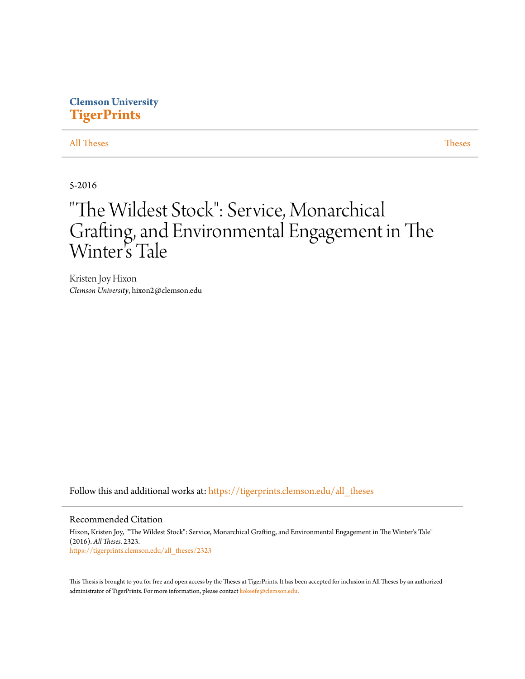# **Clemson University [TigerPrints](https://tigerprints.clemson.edu?utm_source=tigerprints.clemson.edu%2Fall_theses%2F2323&utm_medium=PDF&utm_campaign=PDFCoverPages)**

### [All Theses](https://tigerprints.clemson.edu/all_theses?utm_source=tigerprints.clemson.edu%2Fall_theses%2F2323&utm_medium=PDF&utm_campaign=PDFCoverPages) **[Theses](https://tigerprints.clemson.edu/theses?utm_source=tigerprints.clemson.edu%2Fall_theses%2F2323&utm_medium=PDF&utm_campaign=PDFCoverPages)**

## 5-2016

# "The Wildest Stock": Service, Monarchical Grafting, and Environmental Engagement in The Winter 's Tale

Kristen Joy Hixon *Clemson University*, hixon2@clemson.edu

Follow this and additional works at: [https://tigerprints.clemson.edu/all\\_theses](https://tigerprints.clemson.edu/all_theses?utm_source=tigerprints.clemson.edu%2Fall_theses%2F2323&utm_medium=PDF&utm_campaign=PDFCoverPages)

#### Recommended Citation

Hixon, Kristen Joy, ""The Wildest Stock": Service, Monarchical Grafting, and Environmental Engagement in The Winter's Tale" (2016). *All Theses*. 2323. [https://tigerprints.clemson.edu/all\\_theses/2323](https://tigerprints.clemson.edu/all_theses/2323?utm_source=tigerprints.clemson.edu%2Fall_theses%2F2323&utm_medium=PDF&utm_campaign=PDFCoverPages)

This Thesis is brought to you for free and open access by the Theses at TigerPrints. It has been accepted for inclusion in All Theses by an authorized administrator of TigerPrints. For more information, please contact [kokeefe@clemson.edu](mailto:kokeefe@clemson.edu).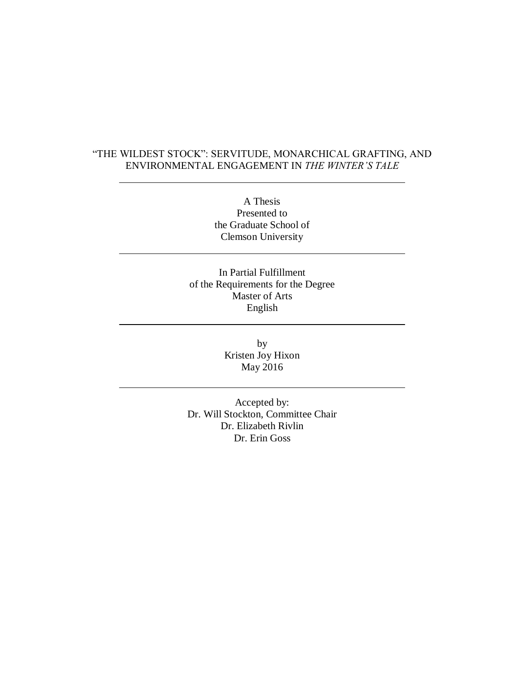# "THE WILDEST STOCK": SERVITUDE, MONARCHICAL GRAFTING, AND ENVIRONMENTAL ENGAGEMENT IN *THE WINTER'S TALE*

A Thesis Presented to the Graduate School of Clemson University

In Partial Fulfillment of the Requirements for the Degree Master of Arts English

> by Kristen Joy Hixon May 2016

Accepted by: Dr. Will Stockton, Committee Chair Dr. Elizabeth Rivlin Dr. Erin Goss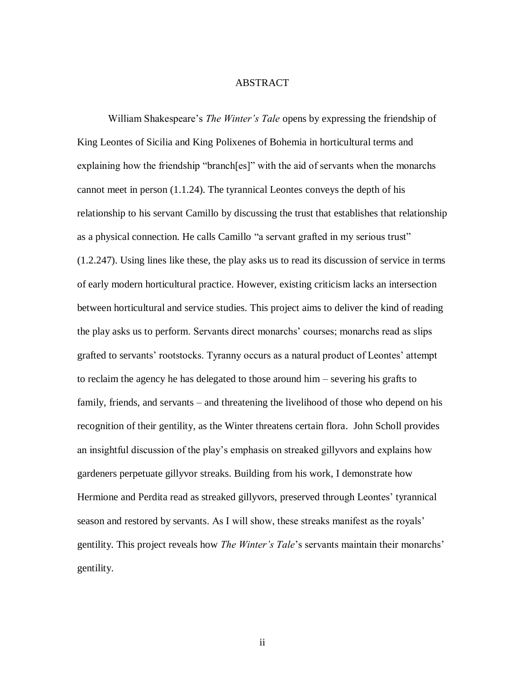### ABSTRACT

William Shakespeare's *The Winter's Tale* opens by expressing the friendship of King Leontes of Sicilia and King Polixenes of Bohemia in horticultural terms and explaining how the friendship "branch[es]" with the aid of servants when the monarchs cannot meet in person (1.1.24). The tyrannical Leontes conveys the depth of his relationship to his servant Camillo by discussing the trust that establishes that relationship as a physical connection. He calls Camillo "a servant grafted in my serious trust" (1.2.247). Using lines like these, the play asks us to read its discussion of service in terms of early modern horticultural practice. However, existing criticism lacks an intersection between horticultural and service studies. This project aims to deliver the kind of reading the play asks us to perform. Servants direct monarchs' courses; monarchs read as slips grafted to servants' rootstocks. Tyranny occurs as a natural product of Leontes' attempt to reclaim the agency he has delegated to those around him – severing his grafts to family, friends, and servants – and threatening the livelihood of those who depend on his recognition of their gentility, as the Winter threatens certain flora. John Scholl provides an insightful discussion of the play's emphasis on streaked gillyvors and explains how gardeners perpetuate gillyvor streaks. Building from his work, I demonstrate how Hermione and Perdita read as streaked gillyvors, preserved through Leontes' tyrannical season and restored by servants. As I will show, these streaks manifest as the royals' gentility. This project reveals how *The Winter's Tale*'s servants maintain their monarchs' gentility.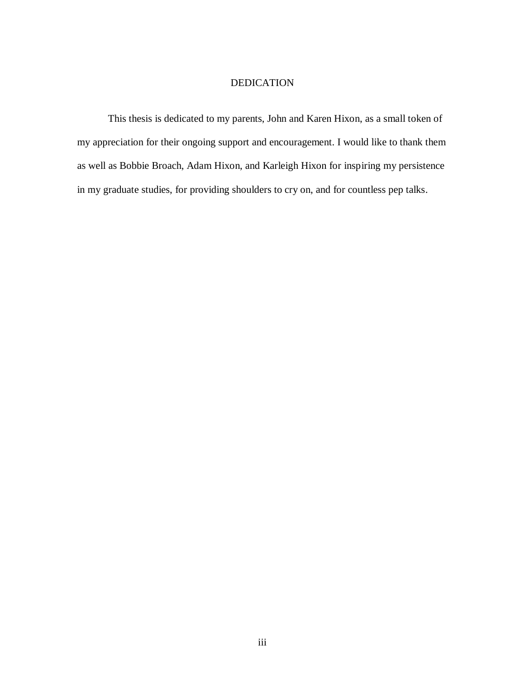### DEDICATION

This thesis is dedicated to my parents, John and Karen Hixon, as a small token of my appreciation for their ongoing support and encouragement. I would like to thank them as well as Bobbie Broach, Adam Hixon, and Karleigh Hixon for inspiring my persistence in my graduate studies, for providing shoulders to cry on, and for countless pep talks.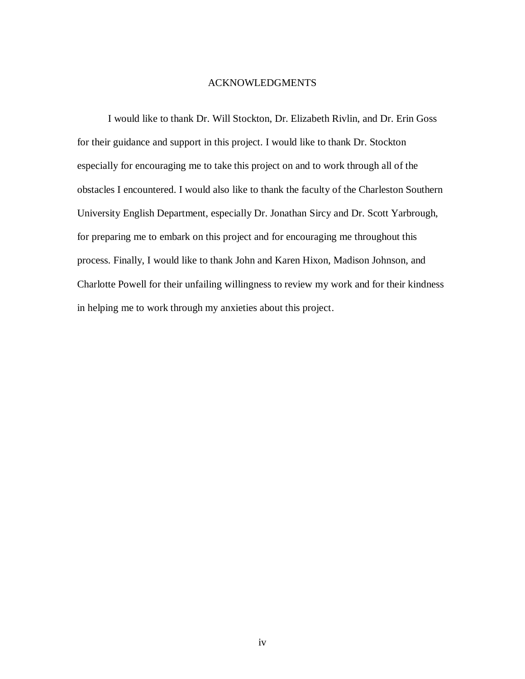### ACKNOWLEDGMENTS

I would like to thank Dr. Will Stockton, Dr. Elizabeth Rivlin, and Dr. Erin Goss for their guidance and support in this project. I would like to thank Dr. Stockton especially for encouraging me to take this project on and to work through all of the obstacles I encountered. I would also like to thank the faculty of the Charleston Southern University English Department, especially Dr. Jonathan Sircy and Dr. Scott Yarbrough, for preparing me to embark on this project and for encouraging me throughout this process. Finally, I would like to thank John and Karen Hixon, Madison Johnson, and Charlotte Powell for their unfailing willingness to review my work and for their kindness in helping me to work through my anxieties about this project.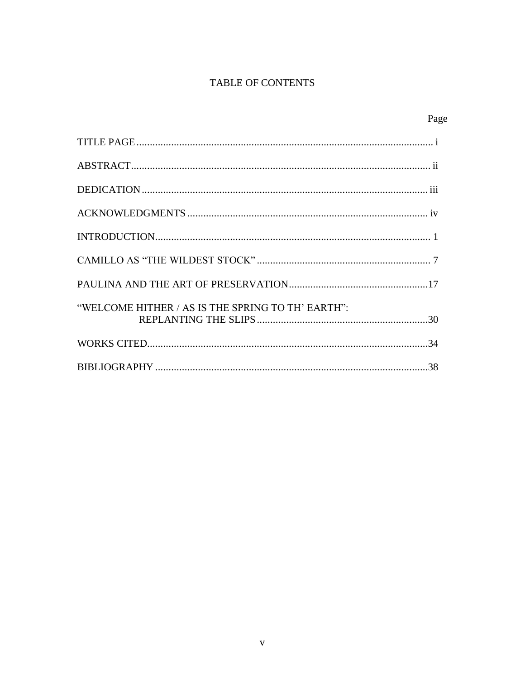# TABLE OF CONTENTS

| "WELCOME HITHER / AS IS THE SPRING TO TH' EARTH": |
|---------------------------------------------------|
|                                                   |
|                                                   |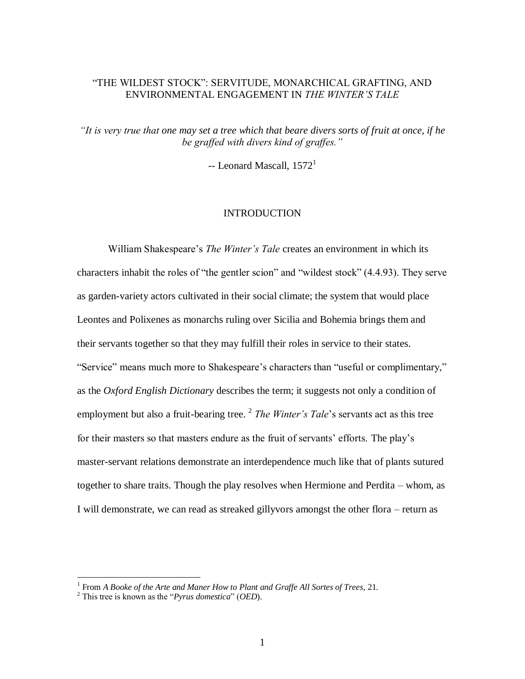## "THE WILDEST STOCK": SERVITUDE, MONARCHICAL GRAFTING, AND ENVIRONMENTAL ENGAGEMENT IN *THE WINTER'S TALE*

*"It is very true that one may set a tree which that beare divers sorts of fruit at once, if he be graffed with divers kind of graffes."*

 $-$ - Leonard Mascall,  $1572<sup>1</sup>$ 

### INTRODUCTION

William Shakespeare's *The Winter's Tale* creates an environment in which its characters inhabit the roles of "the gentler scion" and "wildest stock" (4.4.93). They serve as garden-variety actors cultivated in their social climate; the system that would place Leontes and Polixenes as monarchs ruling over Sicilia and Bohemia brings them and their servants together so that they may fulfill their roles in service to their states. "Service" means much more to Shakespeare's characters than "useful or complimentary," as the *Oxford English Dictionary* describes the term; it suggests not only a condition of employment but also a fruit-bearing tree. <sup>2</sup> *The Winter's Tale's* servants act as this tree for their masters so that masters endure as the fruit of servants' efforts. The play's master-servant relations demonstrate an interdependence much like that of plants sutured together to share traits. Though the play resolves when Hermione and Perdita – whom, as I will demonstrate, we can read as streaked gillyvors amongst the other flora – return as

<sup>&</sup>lt;sup>1</sup> From *A Booke of the Arte and Maner How to Plant and Graffe All Sortes of Trees, 21.* 

<sup>2</sup> This tree is known as the "*Pyrus domestica*" (*OED*).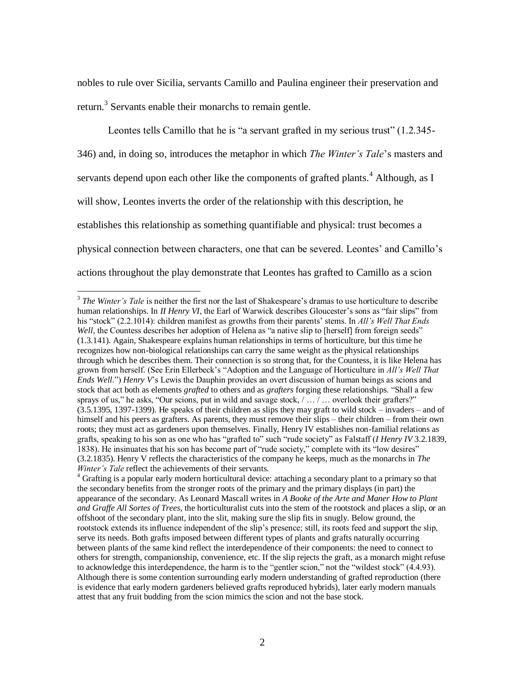nobles to rule over Sicilia, servants Camillo and Paulina engineer their preservation and return.<sup>3</sup> Servants enable their monarchs to remain gentle.

Leontes tells Camillo that he is "a servant grafted in my serious trust" (1.2.345-346) and, in doing so, introduces the metaphor in which *The Winter's Tale*'s masters and servants depend upon each other like the components of grafted plants.<sup>4</sup> Although, as I will show, Leontes inverts the order of the relationship with this description, he establishes this relationship as something quantifiable and physical: trust becomes a physical connection between characters, one that can be severed. Leontes' and Camillo's actions throughout the play demonstrate that Leontes has grafted to Camillo as a scion

 $\overline{a}$ <sup>3</sup> The Winter's Tale is neither the first nor the last of Shakespeare's dramas to use horticulture to describe human relationships. In *II Henry VI*, the Earl of Warwick describes Gloucester's sons as "fair slips" from his "stock" (2.2.1014): children manifest as growths from their parents' stems. In *All's Well That Ends Well*, the Countess describes her adoption of Helena as "a native slip to [herself] from foreign seeds" (1.3.141). Again, Shakespeare explains human relationships in terms of horticulture, but this time he recognizes how non-biological relationships can carry the same weight as the physical relationships through which he describes them. Their connection is so strong that, for the Countess, it is like Helena has grown from herself. (See Erin Ellerbeck's "Adoption and the Language of Horticulture in *All's Well That Ends Well*.") *Henry V*'s Lewis the Dauphin provides an overt discussion of human beings as scions and stock that act both as elements *grafted* to others and as *grafters* forging these relationships. "Shall a few sprays of us," he asks, "Our scions, put in wild and savage stock,  $/ \ldots / \ldots$  overlook their grafters?" (3.5.1395, 1397-1399). He speaks of their children as slips they may graft to wild stock – invaders – and of himself and his peers as grafters. As parents, they must remove their slips – their children – from their own roots; they must act as gardeners upon themselves. Finally, Henry IV establishes non-familial relations as grafts, speaking to his son as one who has "grafted to" such "rude society" as Falstaff (*I Henry IV* 3.2.1839, 1838). He insinuates that his son has become part of "rude society," complete with its "low desires" (3.2.1835). Henry V reflects the characteristics of the company he keeps, much as the monarchs in *The Winter's Tale* reflect the achievements of their servants.

<sup>&</sup>lt;sup>4</sup> Grafting is a popular early modern horticultural device: attaching a secondary plant to a primary so that the secondary benefits from the stronger roots of the primary and the primary displays (in part) the appearance of the secondary. As Leonard Mascall writes in *A Booke of the Arte and Maner How to Plant and Graffe All Sortes of Trees*, the horticulturalist cuts into the stem of the rootstock and places a slip, or an offshoot of the secondary plant, into the slit, making sure the slip fits in snugly. Below ground, the rootstock extends its influence independent of the slip's presence; still, its roots feed and support the slip, serve its needs. Both grafts imposed between different types of plants and grafts naturally occurring between plants of the same kind reflect the interdependence of their components: the need to connect to others for strength, companionship, convenience, etc. If the slip rejects the graft, as a monarch might refuse to acknowledge this interdependence, the harm is to the "gentler scion," not the "wildest stock" (4.4.93). Although there is some contention surrounding early modern understanding of grafted reproduction (there is evidence that early modern gardeners believed grafts reproduced hybrids), later early modern manuals attest that any fruit budding from the scion mimics the scion and not the base stock.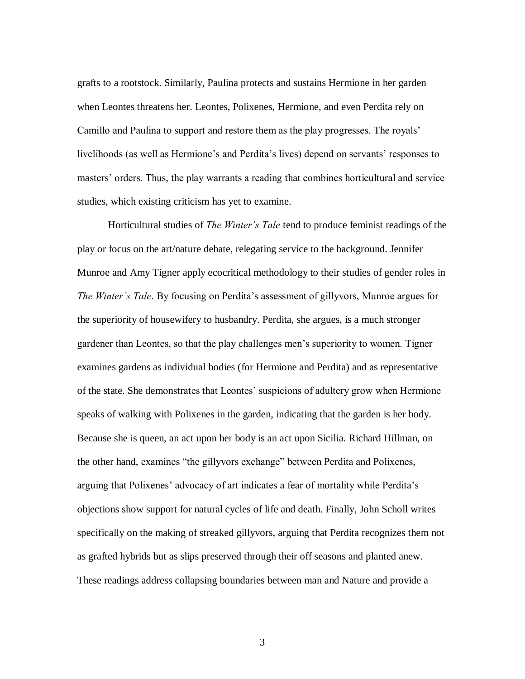grafts to a rootstock. Similarly, Paulina protects and sustains Hermione in her garden when Leontes threatens her. Leontes, Polixenes, Hermione, and even Perdita rely on Camillo and Paulina to support and restore them as the play progresses. The royals' livelihoods (as well as Hermione's and Perdita's lives) depend on servants' responses to masters' orders. Thus, the play warrants a reading that combines horticultural and service studies, which existing criticism has yet to examine.

Horticultural studies of *The Winter's Tale* tend to produce feminist readings of the play or focus on the art/nature debate, relegating service to the background. Jennifer Munroe and Amy Tigner apply ecocritical methodology to their studies of gender roles in *The Winter's Tale*. By focusing on Perdita's assessment of gillyvors, Munroe argues for the superiority of housewifery to husbandry. Perdita, she argues, is a much stronger gardener than Leontes, so that the play challenges men's superiority to women. Tigner examines gardens as individual bodies (for Hermione and Perdita) and as representative of the state. She demonstrates that Leontes' suspicions of adultery grow when Hermione speaks of walking with Polixenes in the garden, indicating that the garden is her body. Because she is queen, an act upon her body is an act upon Sicilia. Richard Hillman, on the other hand, examines "the gillyvors exchange" between Perdita and Polixenes, arguing that Polixenes' advocacy of art indicates a fear of mortality while Perdita's objections show support for natural cycles of life and death. Finally, John Scholl writes specifically on the making of streaked gillyvors, arguing that Perdita recognizes them not as grafted hybrids but as slips preserved through their off seasons and planted anew. These readings address collapsing boundaries between man and Nature and provide a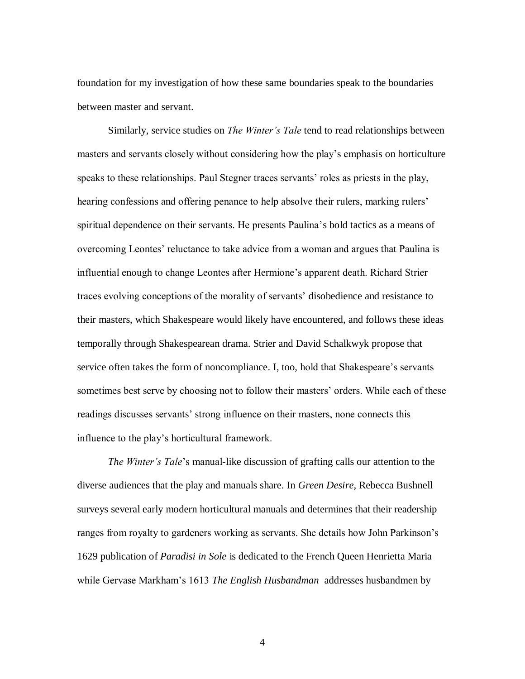foundation for my investigation of how these same boundaries speak to the boundaries between master and servant.

Similarly, service studies on *The Winter's Tale* tend to read relationships between masters and servants closely without considering how the play's emphasis on horticulture speaks to these relationships. Paul Stegner traces servants' roles as priests in the play, hearing confessions and offering penance to help absolve their rulers, marking rulers' spiritual dependence on their servants. He presents Paulina's bold tactics as a means of overcoming Leontes' reluctance to take advice from a woman and argues that Paulina is influential enough to change Leontes after Hermione's apparent death. Richard Strier traces evolving conceptions of the morality of servants' disobedience and resistance to their masters, which Shakespeare would likely have encountered, and follows these ideas temporally through Shakespearean drama. Strier and David Schalkwyk propose that service often takes the form of noncompliance. I, too, hold that Shakespeare's servants sometimes best serve by choosing not to follow their masters' orders. While each of these readings discusses servants' strong influence on their masters, none connects this influence to the play's horticultural framework.

*The Winter's Tale*'s manual-like discussion of grafting calls our attention to the diverse audiences that the play and manuals share. In *Green Desire*, Rebecca Bushnell surveys several early modern horticultural manuals and determines that their readership ranges from royalty to gardeners working as servants. She details how John Parkinson's 1629 publication of *Paradisi in Sole* is dedicated to the French Queen Henrietta Maria while Gervase Markham's 1613 *The English Husbandman* addresses husbandmen by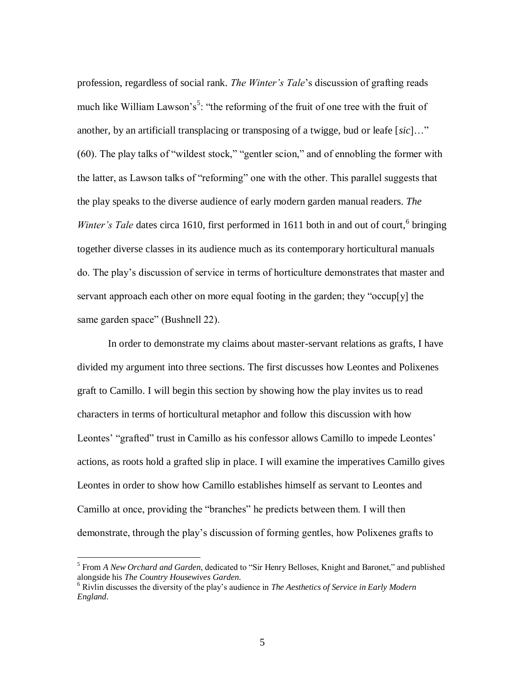profession, regardless of social rank. *The Winter's Tale*'s discussion of grafting reads much like William Lawson's<sup>5</sup>: "the reforming of the fruit of one tree with the fruit of another, by an artificiall transplacing or transposing of a twigge, bud or leafe [*sic*]…" (60). The play talks of "wildest stock," "gentler scion," and of ennobling the former with the latter, as Lawson talks of "reforming" one with the other. This parallel suggests that the play speaks to the diverse audience of early modern garden manual readers. *The Winter's Tale* dates circa 1610, first performed in 1611 both in and out of court,<sup>6</sup> bringing together diverse classes in its audience much as its contemporary horticultural manuals do. The play's discussion of service in terms of horticulture demonstrates that master and servant approach each other on more equal footing in the garden; they "occup[y] the same garden space" (Bushnell 22).

In order to demonstrate my claims about master-servant relations as grafts, I have divided my argument into three sections. The first discusses how Leontes and Polixenes graft to Camillo. I will begin this section by showing how the play invites us to read characters in terms of horticultural metaphor and follow this discussion with how Leontes' "grafted" trust in Camillo as his confessor allows Camillo to impede Leontes' actions, as roots hold a grafted slip in place. I will examine the imperatives Camillo gives Leontes in order to show how Camillo establishes himself as servant to Leontes and Camillo at once, providing the "branches" he predicts between them. I will then demonstrate, through the play's discussion of forming gentles, how Polixenes grafts to

<sup>5</sup> From *A New Orchard and Garden*, dedicated to "Sir Henry Belloses, Knight and Baronet," and published alongside his *The Country Housewives Garden*.

<sup>6</sup> Rivlin discusses the diversity of the play's audience in *The Aesthetics of Service in Early Modern England*.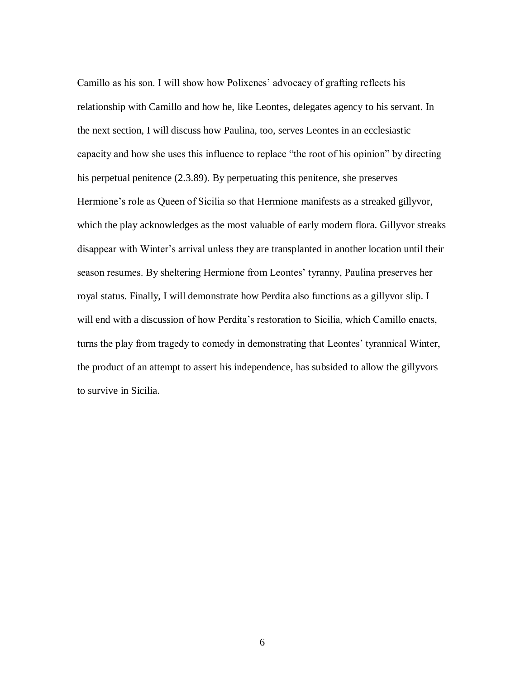Camillo as his son. I will show how Polixenes' advocacy of grafting reflects his relationship with Camillo and how he, like Leontes, delegates agency to his servant. In the next section, I will discuss how Paulina, too, serves Leontes in an ecclesiastic capacity and how she uses this influence to replace "the root of his opinion" by directing his perpetual penitence (2.3.89). By perpetuating this penitence, she preserves Hermione's role as Queen of Sicilia so that Hermione manifests as a streaked gillyvor, which the play acknowledges as the most valuable of early modern flora. Gillyvor streaks disappear with Winter's arrival unless they are transplanted in another location until their season resumes. By sheltering Hermione from Leontes' tyranny, Paulina preserves her royal status. Finally, I will demonstrate how Perdita also functions as a gillyvor slip. I will end with a discussion of how Perdita's restoration to Sicilia, which Camillo enacts, turns the play from tragedy to comedy in demonstrating that Leontes' tyrannical Winter, the product of an attempt to assert his independence, has subsided to allow the gillyvors to survive in Sicilia.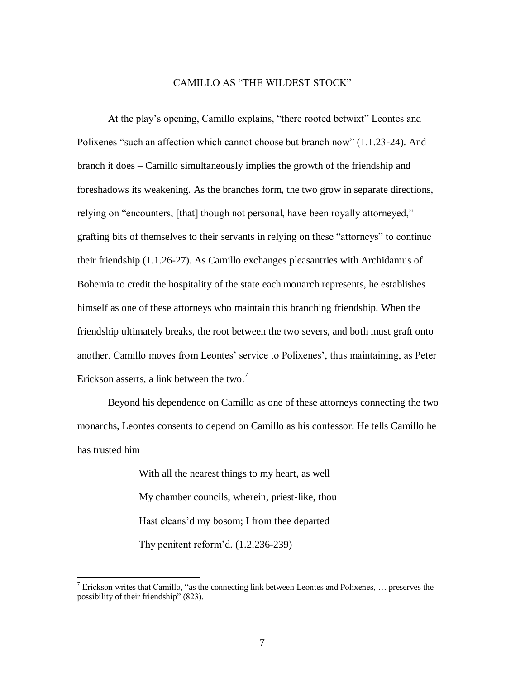### CAMILLO AS "THE WILDEST STOCK"

At the play's opening, Camillo explains, "there rooted betwixt" Leontes and Polixenes "such an affection which cannot choose but branch now" (1.1.23-24). And branch it does – Camillo simultaneously implies the growth of the friendship and foreshadows its weakening. As the branches form, the two grow in separate directions, relying on "encounters, [that] though not personal, have been royally attorneyed," grafting bits of themselves to their servants in relying on these "attorneys" to continue their friendship (1.1.26-27). As Camillo exchanges pleasantries with Archidamus of Bohemia to credit the hospitality of the state each monarch represents, he establishes himself as one of these attorneys who maintain this branching friendship. When the friendship ultimately breaks, the root between the two severs, and both must graft onto another. Camillo moves from Leontes' service to Polixenes', thus maintaining, as Peter Erickson asserts, a link between the two.<sup>7</sup>

Beyond his dependence on Camillo as one of these attorneys connecting the two monarchs, Leontes consents to depend on Camillo as his confessor. He tells Camillo he has trusted him

> With all the nearest things to my heart, as well My chamber councils, wherein, priest-like, thou Hast cleans'd my bosom; I from thee departed Thy penitent reform'd. (1.2.236-239)

<sup>&</sup>lt;sup>7</sup> Erickson writes that Camillo, "as the connecting link between Leontes and Polixenes, ... preserves the possibility of their friendship" (823).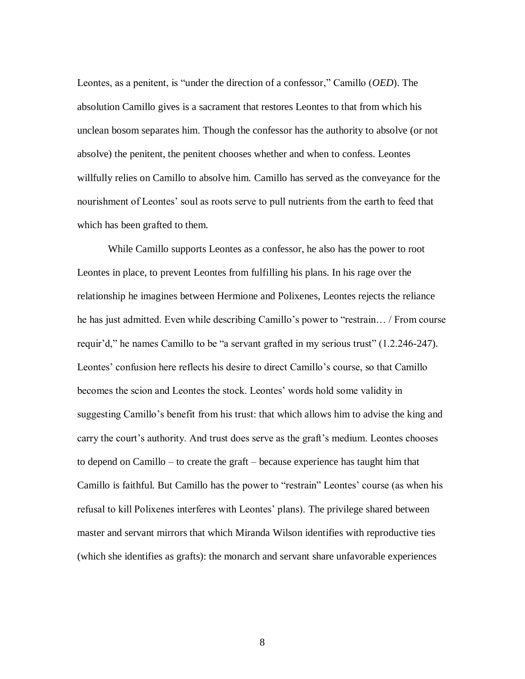Leontes, as a penitent, is "under the direction of a confessor," Camillo (*OED*). The absolution Camillo gives is a sacrament that restores Leontes to that from which his unclean bosom separates him. Though the confessor has the authority to absolve (or not absolve) the penitent, the penitent chooses whether and when to confess. Leontes willfully relies on Camillo to absolve him. Camillo has served as the conveyance for the nourishment of Leontes' soul as roots serve to pull nutrients from the earth to feed that which has been grafted to them.

While Camillo supports Leontes as a confessor, he also has the power to root Leontes in place, to prevent Leontes from fulfilling his plans. In his rage over the relationship he imagines between Hermione and Polixenes, Leontes rejects the reliance he has just admitted. Even while describing Camillo's power to "restrain… / From course requir'd," he names Camillo to be "a servant grafted in my serious trust" (1.2.246-247). Leontes' confusion here reflects his desire to direct Camillo's course, so that Camillo becomes the scion and Leontes the stock. Leontes' words hold some validity in suggesting Camillo's benefit from his trust: that which allows him to advise the king and carry the court's authority. And trust does serve as the graft's medium. Leontes chooses to depend on Camillo – to create the graft – because experience has taught him that Camillo is faithful. But Camillo has the power to "restrain" Leontes' course (as when his refusal to kill Polixenes interferes with Leontes' plans). The privilege shared between master and servant mirrors that which Miranda Wilson identifies with reproductive ties (which she identifies as grafts): the monarch and servant share unfavorable experiences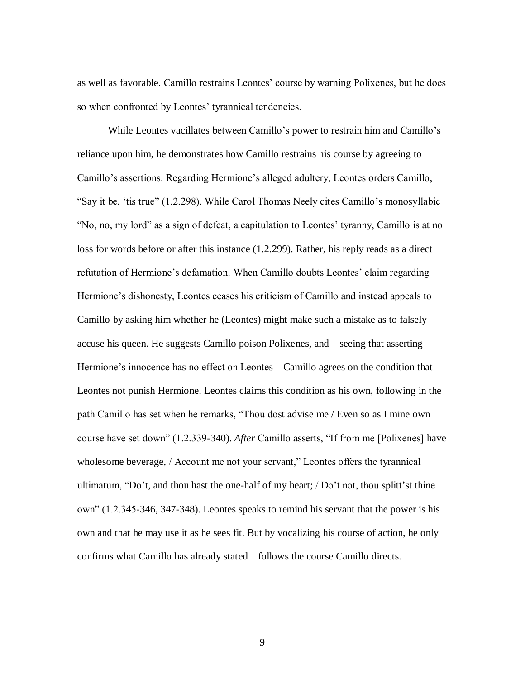as well as favorable. Camillo restrains Leontes' course by warning Polixenes, but he does so when confronted by Leontes' tyrannical tendencies.

While Leontes vacillates between Camillo's power to restrain him and Camillo's reliance upon him, he demonstrates how Camillo restrains his course by agreeing to Camillo's assertions. Regarding Hermione's alleged adultery, Leontes orders Camillo, "Say it be, 'tis true" (1.2.298). While Carol Thomas Neely cites Camillo's monosyllabic "No, no, my lord" as a sign of defeat, a capitulation to Leontes' tyranny, Camillo is at no loss for words before or after this instance (1.2.299). Rather, his reply reads as a direct refutation of Hermione's defamation. When Camillo doubts Leontes' claim regarding Hermione's dishonesty, Leontes ceases his criticism of Camillo and instead appeals to Camillo by asking him whether he (Leontes) might make such a mistake as to falsely accuse his queen. He suggests Camillo poison Polixenes, and – seeing that asserting Hermione's innocence has no effect on Leontes – Camillo agrees on the condition that Leontes not punish Hermione. Leontes claims this condition as his own, following in the path Camillo has set when he remarks, "Thou dost advise me / Even so as I mine own course have set down" (1.2.339-340). *After* Camillo asserts, "If from me [Polixenes] have wholesome beverage, / Account me not your servant," Leontes offers the tyrannical ultimatum, "Do't, and thou hast the one-half of my heart; / Do't not, thou splitt'st thine own" (1.2.345-346, 347-348). Leontes speaks to remind his servant that the power is his own and that he may use it as he sees fit. But by vocalizing his course of action, he only confirms what Camillo has already stated – follows the course Camillo directs.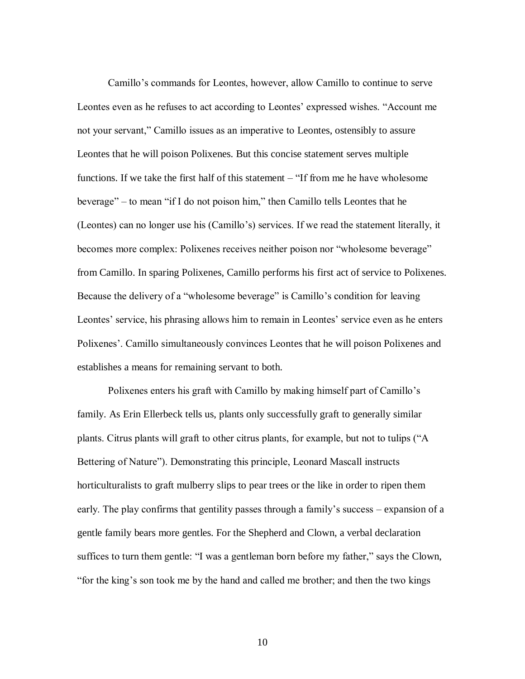Camillo's commands for Leontes, however, allow Camillo to continue to serve Leontes even as he refuses to act according to Leontes' expressed wishes. "Account me not your servant," Camillo issues as an imperative to Leontes, ostensibly to assure Leontes that he will poison Polixenes. But this concise statement serves multiple functions. If we take the first half of this statement – "If from me he have wholesome beverage" – to mean "if I do not poison him," then Camillo tells Leontes that he (Leontes) can no longer use his (Camillo's) services. If we read the statement literally, it becomes more complex: Polixenes receives neither poison nor "wholesome beverage" from Camillo. In sparing Polixenes, Camillo performs his first act of service to Polixenes. Because the delivery of a "wholesome beverage" is Camillo's condition for leaving Leontes' service, his phrasing allows him to remain in Leontes' service even as he enters Polixenes'. Camillo simultaneously convinces Leontes that he will poison Polixenes and establishes a means for remaining servant to both.

Polixenes enters his graft with Camillo by making himself part of Camillo's family. As Erin Ellerbeck tells us, plants only successfully graft to generally similar plants. Citrus plants will graft to other citrus plants, for example, but not to tulips ("A Bettering of Nature"). Demonstrating this principle, Leonard Mascall instructs horticulturalists to graft mulberry slips to pear trees or the like in order to ripen them early. The play confirms that gentility passes through a family's success – expansion of a gentle family bears more gentles. For the Shepherd and Clown, a verbal declaration suffices to turn them gentle: "I was a gentleman born before my father," says the Clown, "for the king's son took me by the hand and called me brother; and then the two kings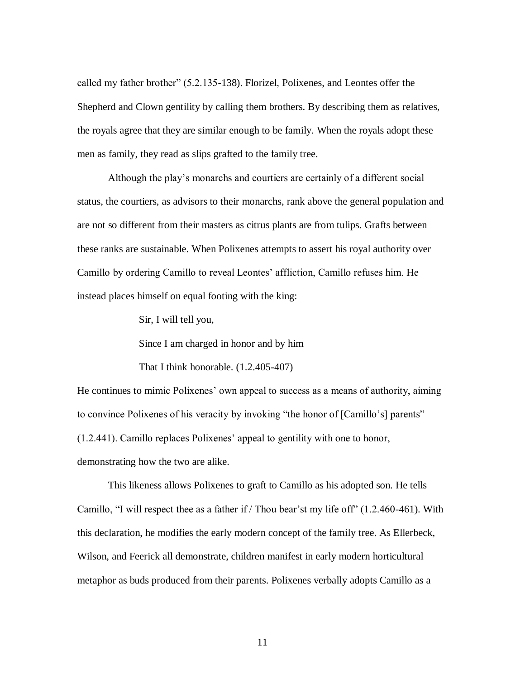called my father brother" (5.2.135-138). Florizel, Polixenes, and Leontes offer the Shepherd and Clown gentility by calling them brothers. By describing them as relatives, the royals agree that they are similar enough to be family. When the royals adopt these men as family, they read as slips grafted to the family tree.

Although the play's monarchs and courtiers are certainly of a different social status, the courtiers, as advisors to their monarchs, rank above the general population and are not so different from their masters as citrus plants are from tulips. Grafts between these ranks are sustainable. When Polixenes attempts to assert his royal authority over Camillo by ordering Camillo to reveal Leontes' affliction, Camillo refuses him. He instead places himself on equal footing with the king:

Sir, I will tell you,

Since I am charged in honor and by him

That I think honorable. (1.2.405-407)

He continues to mimic Polixenes' own appeal to success as a means of authority, aiming to convince Polixenes of his veracity by invoking "the honor of [Camillo's] parents" (1.2.441). Camillo replaces Polixenes' appeal to gentility with one to honor, demonstrating how the two are alike.

This likeness allows Polixenes to graft to Camillo as his adopted son. He tells Camillo, "I will respect thee as a father if / Thou bear'st my life off" (1.2.460-461). With this declaration, he modifies the early modern concept of the family tree. As Ellerbeck, Wilson, and Feerick all demonstrate, children manifest in early modern horticultural metaphor as buds produced from their parents. Polixenes verbally adopts Camillo as a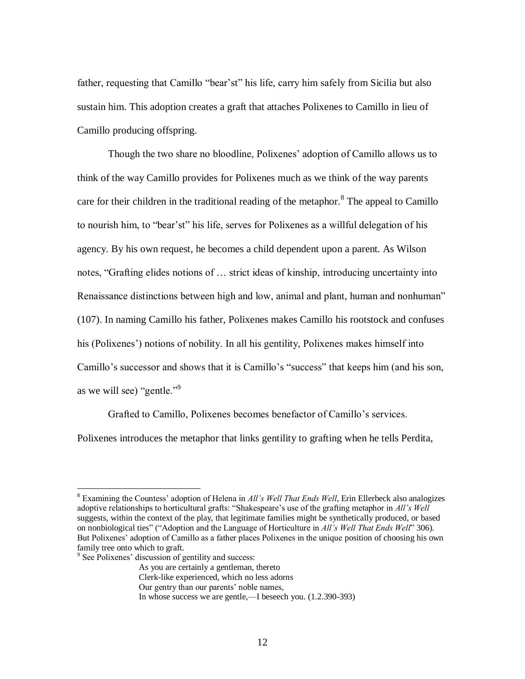father, requesting that Camillo "bear'st" his life, carry him safely from Sicilia but also sustain him. This adoption creates a graft that attaches Polixenes to Camillo in lieu of Camillo producing offspring.

Though the two share no bloodline, Polixenes' adoption of Camillo allows us to think of the way Camillo provides for Polixenes much as we think of the way parents care for their children in the traditional reading of the metaphor.<sup>8</sup> The appeal to Camillo to nourish him, to "bear'st" his life, serves for Polixenes as a willful delegation of his agency. By his own request, he becomes a child dependent upon a parent. As Wilson notes, "Grafting elides notions of … strict ideas of kinship, introducing uncertainty into Renaissance distinctions between high and low, animal and plant, human and nonhuman" (107). In naming Camillo his father, Polixenes makes Camillo his rootstock and confuses his (Polixenes') notions of nobility. In all his gentility, Polixenes makes himself into Camillo's successor and shows that it is Camillo's "success" that keeps him (and his son, as we will see) "gentle."<sup>9</sup>

Grafted to Camillo, Polixenes becomes benefactor of Camillo's services. Polixenes introduces the metaphor that links gentility to grafting when he tells Perdita,

 $\overline{a}$ 

Our gentry than our parents' noble names,

<sup>8</sup> Examining the Countess' adoption of Helena in *All's Well That Ends Well*, Erin Ellerbeck also analogizes adoptive relationships to horticultural grafts: "Shakespeare's use of the grafting metaphor in *All's Well*  suggests, within the context of the play, that legitimate families might be synthetically produced, or based on nonbiological ties" ("Adoption and the Language of Horticulture in *All's Well That Ends Well*" 306). But Polixenes' adoption of Camillo as a father places Polixenes in the unique position of choosing his own family tree onto which to graft.

<sup>&</sup>lt;sup>9</sup> See Polixenes' discussion of gentility and success:

As you are certainly a gentleman, thereto

Clerk-like experienced, which no less adorns

In whose success we are gentle,—I beseech you. (1.2.390-393)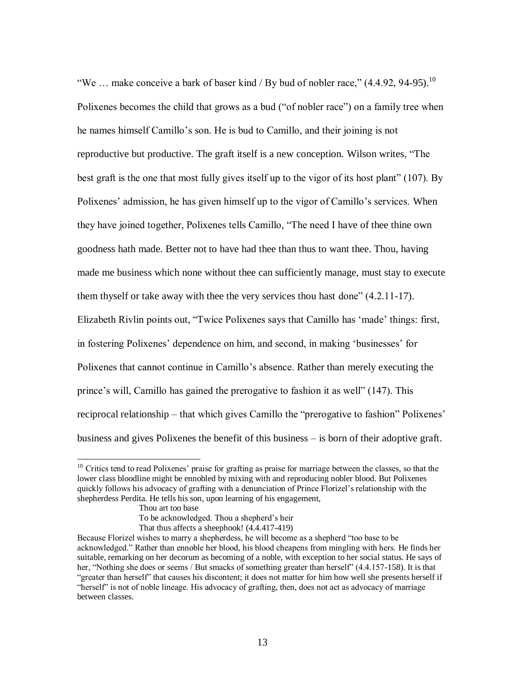"We ... make conceive a bark of baser kind / By bud of nobler race,"  $(4.4.92, 94-95)$ .<sup>10</sup> Polixenes becomes the child that grows as a bud ("of nobler race") on a family tree when he names himself Camillo's son. He is bud to Camillo, and their joining is not reproductive but productive. The graft itself is a new conception. Wilson writes, "The best graft is the one that most fully gives itself up to the vigor of its host plant" (107). By Polixenes' admission, he has given himself up to the vigor of Camillo's services. When they have joined together, Polixenes tells Camillo, "The need I have of thee thine own goodness hath made. Better not to have had thee than thus to want thee. Thou, having made me business which none without thee can sufficiently manage, must stay to execute them thyself or take away with thee the very services thou hast done" (4.2.11-17). Elizabeth Rivlin points out, "Twice Polixenes says that Camillo has 'made' things: first, in fostering Polixenes' dependence on him, and second, in making 'businesses' for Polixenes that cannot continue in Camillo's absence. Rather than merely executing the prince's will, Camillo has gained the prerogative to fashion it as well" (147). This reciprocal relationship – that which gives Camillo the "prerogative to fashion" Polixenes' business and gives Polixenes the benefit of this business – is born of their adoptive graft.

 $\overline{a}$ 

That thus affects a sheephook! (4.4.417-419)

 $10$  Critics tend to read Polixenes' praise for grafting as praise for marriage between the classes, so that the lower class bloodline might be ennobled by mixing with and reproducing nobler blood. But Polixenes quickly follows his advocacy of grafting with a denunciation of Prince Florizel's relationship with the shepherdess Perdita. He tells his son, upon learning of his engagement,

Thou art too base

To be acknowledged. Thou a shepherd's heir

Because Florizel wishes to marry a shepherdess, he will become as a shepherd "too base to be acknowledged." Rather than ennoble her blood, his blood cheapens from mingling with hers. He finds her suitable, remarking on her decorum as becoming of a noble, with exception to her social status. He says of her, "Nothing she does or seems / But smacks of something greater than herself" (4.4.157-158). It is that "greater than herself" that causes his discontent; it does not matter for him how well she presents herself if "herself" is not of noble lineage. His advocacy of grafting, then, does not act as advocacy of marriage between classes.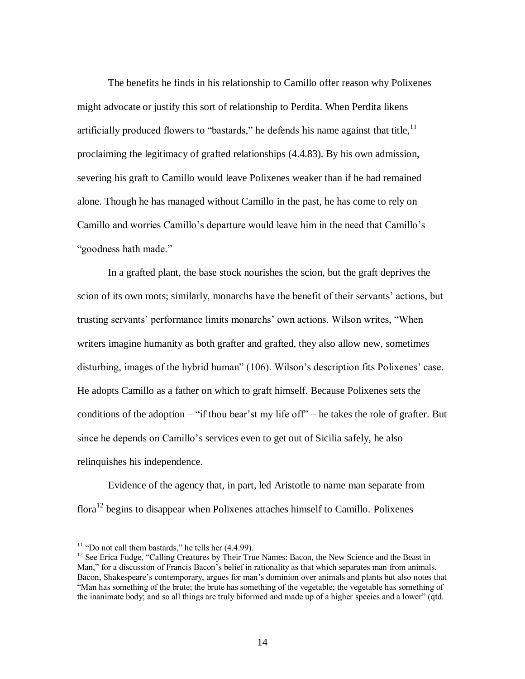The benefits he finds in his relationship to Camillo offer reason why Polixenes might advocate or justify this sort of relationship to Perdita. When Perdita likens artificially produced flowers to "bastards," he defends his name against that title,  $\frac{11}{11}$ proclaiming the legitimacy of grafted relationships (4.4.83). By his own admission, severing his graft to Camillo would leave Polixenes weaker than if he had remained alone. Though he has managed without Camillo in the past, he has come to rely on Camillo and worries Camillo's departure would leave him in the need that Camillo's "goodness hath made."

In a grafted plant, the base stock nourishes the scion, but the graft deprives the scion of its own roots; similarly, monarchs have the benefit of their servants' actions, but trusting servants' performance limits monarchs' own actions. Wilson writes, "When writers imagine humanity as both grafter and grafted, they also allow new, sometimes disturbing, images of the hybrid human" (106). Wilson's description fits Polixenes' case. He adopts Camillo as a father on which to graft himself. Because Polixenes sets the conditions of the adoption – "if thou bear'st my life off" – he takes the role of grafter. But since he depends on Camillo's services even to get out of Sicilia safely, he also relinquishes his independence.

Evidence of the agency that, in part, led Aristotle to name man separate from flora<sup>12</sup> begins to disappear when Polixenes attaches himself to Camillo. Polixenes

 $11$  "Do not call them bastards," he tells her  $(4.4.99)$ .

<sup>&</sup>lt;sup>12</sup> See Erica Fudge, "Calling Creatures by Their True Names: Bacon, the New Science and the Beast in Man," for a discussion of Francis Bacon's belief in rationality as that which separates man from animals. Bacon, Shakespeare's contemporary, argues for man's dominion over animals and plants but also notes that "Man has something of the brute; the brute has something of the vegetable; the vegetable has something of the inanimate body; and so all things are truly biformed and made up of a higher species and a lower" (qtd.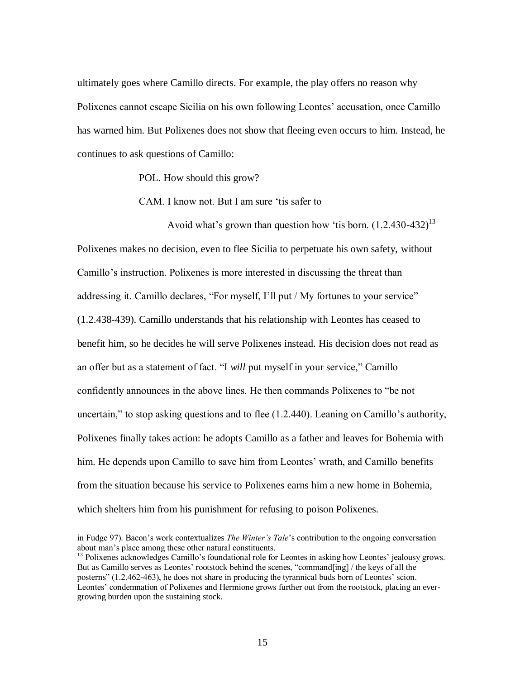ultimately goes where Camillo directs. For example, the play offers no reason why Polixenes cannot escape Sicilia on his own following Leontes' accusation, once Camillo has warned him. But Polixenes does not show that fleeing even occurs to him. Instead, he continues to ask questions of Camillo:

POL. How should this grow?

CAM. I know not. But I am sure 'tis safer to

Avoid what's grown than question how 'tis born.  $(1.2.430-432)^{13}$ Polixenes makes no decision, even to flee Sicilia to perpetuate his own safety, without Camillo's instruction. Polixenes is more interested in discussing the threat than addressing it. Camillo declares, "For myself, I'll put / My fortunes to your service" (1.2.438-439). Camillo understands that his relationship with Leontes has ceased to benefit him, so he decides he will serve Polixenes instead. His decision does not read as an offer but as a statement of fact. "I *will* put myself in your service," Camillo confidently announces in the above lines. He then commands Polixenes to "be not uncertain," to stop asking questions and to flee (1.2.440). Leaning on Camillo's authority, Polixenes finally takes action: he adopts Camillo as a father and leaves for Bohemia with him. He depends upon Camillo to save him from Leontes' wrath, and Camillo benefits from the situation because his service to Polixenes earns him a new home in Bohemia, which shelters him from his punishment for refusing to poison Polixenes.

in Fudge 97). Bacon's work contextualizes *The Winter's Tale*'s contribution to the ongoing conversation about man's place among these other natural constituents.

<sup>&</sup>lt;sup>13</sup> Polixenes acknowledges Camillo's foundational role for Leontes in asking how Leontes' jealousy grows. But as Camillo serves as Leontes' rootstock behind the scenes, "command[ing] / the keys of all the posterns" (1.2.462-463), he does not share in producing the tyrannical buds born of Leontes' scion. Leontes' condemnation of Polixenes and Hermione grows further out from the rootstock, placing an evergrowing burden upon the sustaining stock.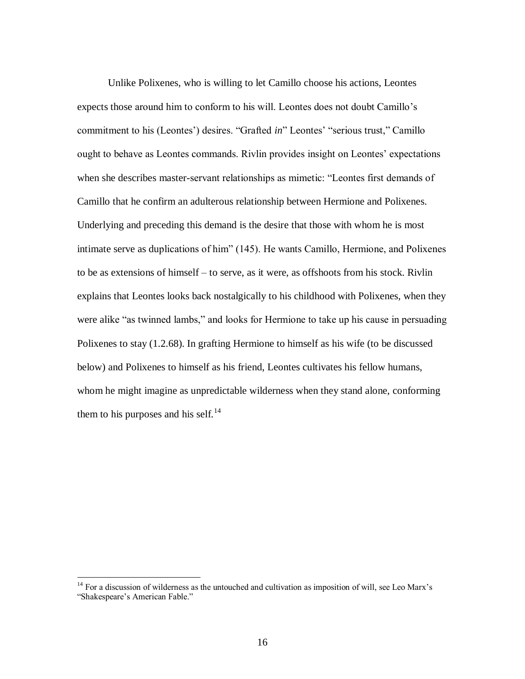Unlike Polixenes, who is willing to let Camillo choose his actions, Leontes expects those around him to conform to his will. Leontes does not doubt Camillo's commitment to his (Leontes') desires. "Grafted *in*" Leontes' "serious trust," Camillo ought to behave as Leontes commands. Rivlin provides insight on Leontes' expectations when she describes master-servant relationships as mimetic: "Leontes first demands of Camillo that he confirm an adulterous relationship between Hermione and Polixenes. Underlying and preceding this demand is the desire that those with whom he is most intimate serve as duplications of him" (145). He wants Camillo, Hermione, and Polixenes to be as extensions of himself – to serve, as it were, as offshoots from his stock. Rivlin explains that Leontes looks back nostalgically to his childhood with Polixenes, when they were alike "as twinned lambs," and looks for Hermione to take up his cause in persuading Polixenes to stay (1.2.68). In grafting Hermione to himself as his wife (to be discussed below) and Polixenes to himself as his friend, Leontes cultivates his fellow humans, whom he might imagine as unpredictable wilderness when they stand alone, conforming them to his purposes and his self.<sup>14</sup>

 $14$  For a discussion of wilderness as the untouched and cultivation as imposition of will, see Leo Marx's "Shakespeare's American Fable."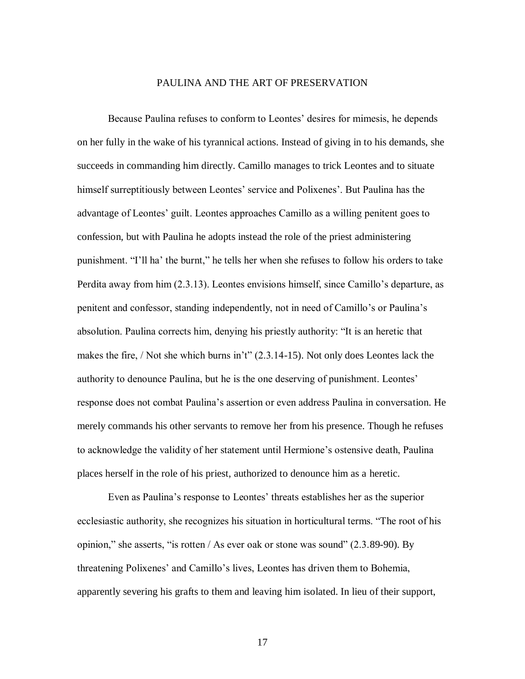### PAULINA AND THE ART OF PRESERVATION

Because Paulina refuses to conform to Leontes' desires for mimesis, he depends on her fully in the wake of his tyrannical actions. Instead of giving in to his demands, she succeeds in commanding him directly. Camillo manages to trick Leontes and to situate himself surreptitiously between Leontes' service and Polixenes'. But Paulina has the advantage of Leontes' guilt. Leontes approaches Camillo as a willing penitent goes to confession, but with Paulina he adopts instead the role of the priest administering punishment. "I'll ha' the burnt," he tells her when she refuses to follow his orders to take Perdita away from him (2.3.13). Leontes envisions himself, since Camillo's departure, as penitent and confessor, standing independently, not in need of Camillo's or Paulina's absolution. Paulina corrects him, denying his priestly authority: "It is an heretic that makes the fire, / Not she which burns in't"  $(2.3.14-15)$ . Not only does Leontes lack the authority to denounce Paulina, but he is the one deserving of punishment. Leontes' response does not combat Paulina's assertion or even address Paulina in conversation. He merely commands his other servants to remove her from his presence. Though he refuses to acknowledge the validity of her statement until Hermione's ostensive death, Paulina places herself in the role of his priest, authorized to denounce him as a heretic.

Even as Paulina's response to Leontes' threats establishes her as the superior ecclesiastic authority, she recognizes his situation in horticultural terms. "The root of his opinion," she asserts, "is rotten / As ever oak or stone was sound" (2.3.89-90). By threatening Polixenes' and Camillo's lives, Leontes has driven them to Bohemia, apparently severing his grafts to them and leaving him isolated. In lieu of their support,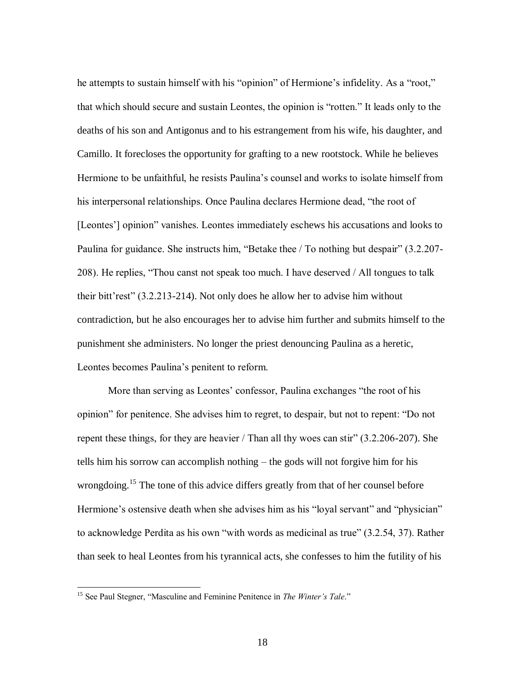he attempts to sustain himself with his "opinion" of Hermione's infidelity. As a "root," that which should secure and sustain Leontes, the opinion is "rotten." It leads only to the deaths of his son and Antigonus and to his estrangement from his wife, his daughter, and Camillo. It forecloses the opportunity for grafting to a new rootstock. While he believes Hermione to be unfaithful, he resists Paulina's counsel and works to isolate himself from his interpersonal relationships. Once Paulina declares Hermione dead, "the root of [Leontes'] opinion" vanishes. Leontes immediately eschews his accusations and looks to Paulina for guidance. She instructs him, "Betake thee / To nothing but despair" (3.2.207-208). He replies, "Thou canst not speak too much. I have deserved / All tongues to talk their bitt'rest" (3.2.213-214). Not only does he allow her to advise him without contradiction, but he also encourages her to advise him further and submits himself to the punishment she administers. No longer the priest denouncing Paulina as a heretic, Leontes becomes Paulina's penitent to reform.

More than serving as Leontes' confessor, Paulina exchanges "the root of his opinion" for penitence. She advises him to regret, to despair, but not to repent: "Do not repent these things, for they are heavier / Than all thy woes can stir" (3.2.206-207). She tells him his sorrow can accomplish nothing – the gods will not forgive him for his wrongdoing.<sup>15</sup> The tone of this advice differs greatly from that of her counsel before Hermione's ostensive death when she advises him as his "loyal servant" and "physician" to acknowledge Perdita as his own "with words as medicinal as true" (3.2.54, 37). Rather than seek to heal Leontes from his tyrannical acts, she confesses to him the futility of his

<sup>15</sup> See Paul Stegner, "Masculine and Feminine Penitence in *The Winter's Tale*."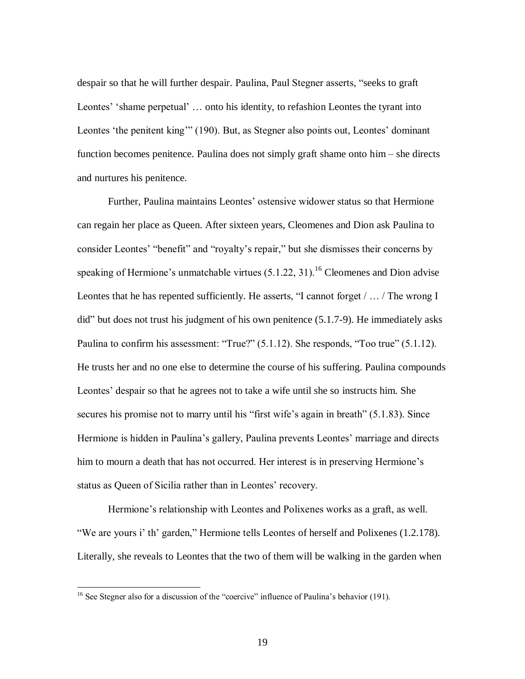despair so that he will further despair. Paulina, Paul Stegner asserts, "seeks to graft Leontes' 'shame perpetual' … onto his identity, to refashion Leontes the tyrant into Leontes 'the penitent king'" (190). But, as Stegner also points out, Leontes' dominant function becomes penitence. Paulina does not simply graft shame onto him – she directs and nurtures his penitence.

Further, Paulina maintains Leontes' ostensive widower status so that Hermione can regain her place as Queen. After sixteen years, Cleomenes and Dion ask Paulina to consider Leontes' "benefit" and "royalty's repair," but she dismisses their concerns by speaking of Hermione's unmatchable virtues  $(5.1.22, 31)$ .<sup>16</sup> Cleomenes and Dion advise Leontes that he has repented sufficiently. He asserts, "I cannot forget / … / The wrong I did" but does not trust his judgment of his own penitence (5.1.7-9). He immediately asks Paulina to confirm his assessment: "True?" (5.1.12). She responds, "Too true" (5.1.12). He trusts her and no one else to determine the course of his suffering. Paulina compounds Leontes' despair so that he agrees not to take a wife until she so instructs him. She secures his promise not to marry until his "first wife's again in breath" (5.1.83). Since Hermione is hidden in Paulina's gallery, Paulina prevents Leontes' marriage and directs him to mourn a death that has not occurred. Her interest is in preserving Hermione's status as Queen of Sicilia rather than in Leontes' recovery.

Hermione's relationship with Leontes and Polixenes works as a graft, as well. "We are yours i' th' garden," Hermione tells Leontes of herself and Polixenes (1.2.178). Literally, she reveals to Leontes that the two of them will be walking in the garden when

<sup>&</sup>lt;sup>16</sup> See Stegner also for a discussion of the "coercive" influence of Paulina's behavior (191).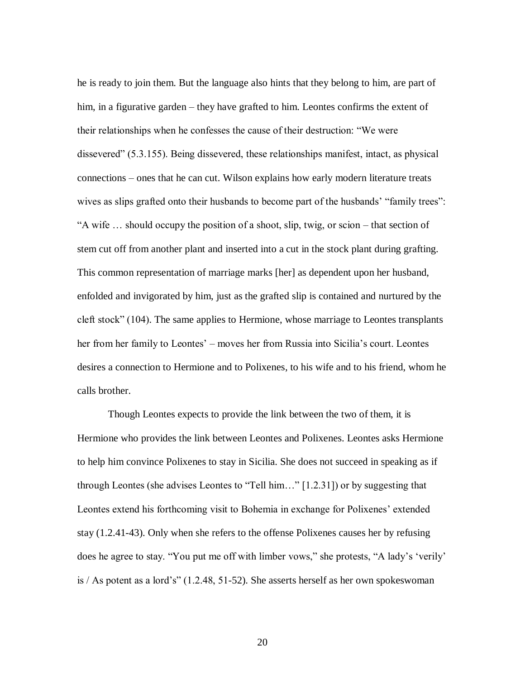he is ready to join them. But the language also hints that they belong to him, are part of him, in a figurative garden – they have grafted to him. Leontes confirms the extent of their relationships when he confesses the cause of their destruction: "We were dissevered" (5.3.155). Being dissevered, these relationships manifest, intact, as physical connections – ones that he can cut. Wilson explains how early modern literature treats wives as slips grafted onto their husbands to become part of the husbands' "family trees": "A wife … should occupy the position of a shoot, slip, twig, or scion – that section of stem cut off from another plant and inserted into a cut in the stock plant during grafting. This common representation of marriage marks [her] as dependent upon her husband, enfolded and invigorated by him, just as the grafted slip is contained and nurtured by the cleft stock" (104). The same applies to Hermione, whose marriage to Leontes transplants her from her family to Leontes' – moves her from Russia into Sicilia's court. Leontes desires a connection to Hermione and to Polixenes, to his wife and to his friend, whom he calls brother.

Though Leontes expects to provide the link between the two of them, it is Hermione who provides the link between Leontes and Polixenes. Leontes asks Hermione to help him convince Polixenes to stay in Sicilia. She does not succeed in speaking as if through Leontes (she advises Leontes to "Tell him…" [1.2.31]) or by suggesting that Leontes extend his forthcoming visit to Bohemia in exchange for Polixenes' extended stay (1.2.41-43). Only when she refers to the offense Polixenes causes her by refusing does he agree to stay. "You put me off with limber vows," she protests, "A lady's 'verily' is / As potent as a lord's" (1.2.48, 51-52). She asserts herself as her own spokeswoman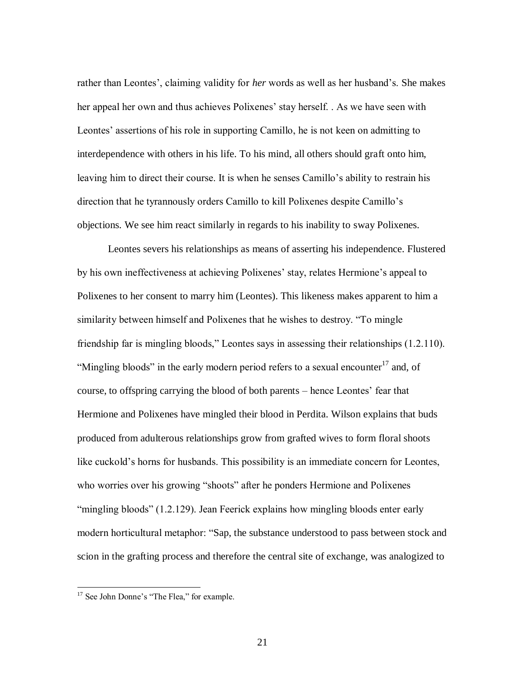rather than Leontes', claiming validity for *her* words as well as her husband's. She makes her appeal her own and thus achieves Polixenes' stay herself. . As we have seen with Leontes' assertions of his role in supporting Camillo, he is not keen on admitting to interdependence with others in his life. To his mind, all others should graft onto him, leaving him to direct their course. It is when he senses Camillo's ability to restrain his direction that he tyrannously orders Camillo to kill Polixenes despite Camillo's objections. We see him react similarly in regards to his inability to sway Polixenes.

Leontes severs his relationships as means of asserting his independence. Flustered by his own ineffectiveness at achieving Polixenes' stay, relates Hermione's appeal to Polixenes to her consent to marry him (Leontes). This likeness makes apparent to him a similarity between himself and Polixenes that he wishes to destroy. "To mingle friendship far is mingling bloods," Leontes says in assessing their relationships (1.2.110). "Mingling bloods" in the early modern period refers to a sexual encounter $^{17}$  and, of course, to offspring carrying the blood of both parents – hence Leontes' fear that Hermione and Polixenes have mingled their blood in Perdita. Wilson explains that buds produced from adulterous relationships grow from grafted wives to form floral shoots like cuckold's horns for husbands. This possibility is an immediate concern for Leontes, who worries over his growing "shoots" after he ponders Hermione and Polixenes "mingling bloods" (1.2.129). Jean Feerick explains how mingling bloods enter early modern horticultural metaphor: "Sap, the substance understood to pass between stock and scion in the grafting process and therefore the central site of exchange, was analogized to

<sup>&</sup>lt;sup>17</sup> See John Donne's "The Flea," for example.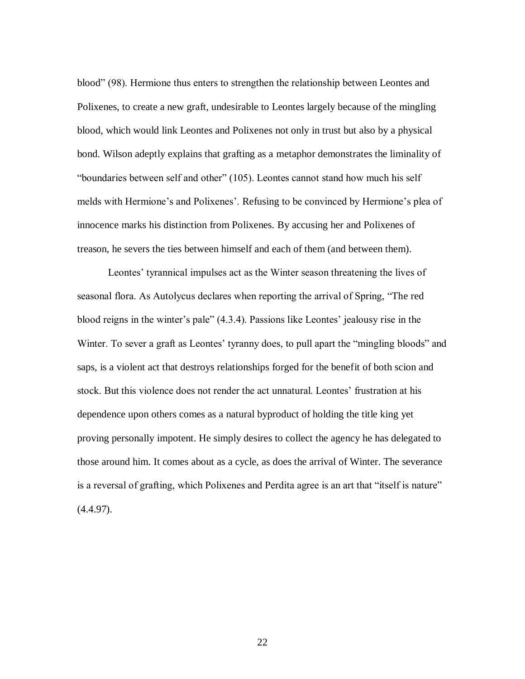blood" (98). Hermione thus enters to strengthen the relationship between Leontes and Polixenes, to create a new graft, undesirable to Leontes largely because of the mingling blood, which would link Leontes and Polixenes not only in trust but also by a physical bond. Wilson adeptly explains that grafting as a metaphor demonstrates the liminality of "boundaries between self and other" (105). Leontes cannot stand how much his self melds with Hermione's and Polixenes'. Refusing to be convinced by Hermione's plea of innocence marks his distinction from Polixenes. By accusing her and Polixenes of treason, he severs the ties between himself and each of them (and between them).

Leontes' tyrannical impulses act as the Winter season threatening the lives of seasonal flora. As Autolycus declares when reporting the arrival of Spring, "The red blood reigns in the winter's pale" (4.3.4). Passions like Leontes' jealousy rise in the Winter. To sever a graft as Leontes' tyranny does, to pull apart the "mingling bloods" and saps, is a violent act that destroys relationships forged for the benefit of both scion and stock. But this violence does not render the act unnatural. Leontes' frustration at his dependence upon others comes as a natural byproduct of holding the title king yet proving personally impotent. He simply desires to collect the agency he has delegated to those around him. It comes about as a cycle, as does the arrival of Winter. The severance is a reversal of grafting, which Polixenes and Perdita agree is an art that "itself is nature"  $(4.4.97)$ .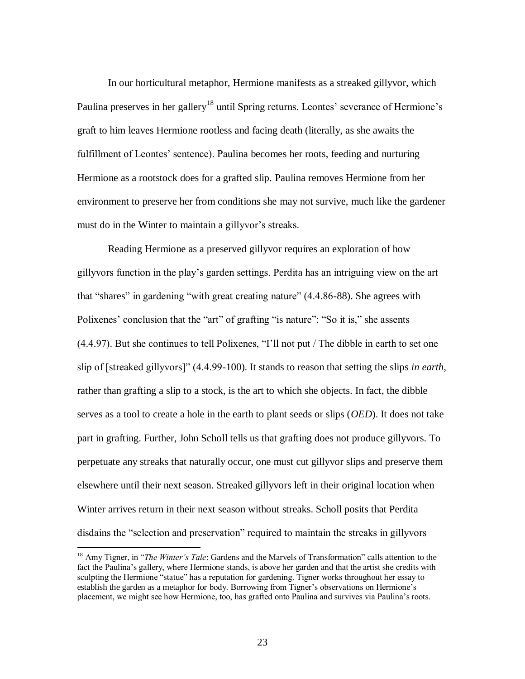In our horticultural metaphor, Hermione manifests as a streaked gillyvor, which Paulina preserves in her gallery<sup>18</sup> until Spring returns. Leontes' severance of Hermione's graft to him leaves Hermione rootless and facing death (literally, as she awaits the fulfillment of Leontes' sentence). Paulina becomes her roots, feeding and nurturing Hermione as a rootstock does for a grafted slip. Paulina removes Hermione from her environment to preserve her from conditions she may not survive, much like the gardener must do in the Winter to maintain a gillyvor's streaks.

Reading Hermione as a preserved gillyvor requires an exploration of how gillyvors function in the play's garden settings. Perdita has an intriguing view on the art that "shares" in gardening "with great creating nature" (4.4.86-88). She agrees with Polixenes' conclusion that the "art" of grafting "is nature": "So it is," she assents (4.4.97). But she continues to tell Polixenes, "I'll not put / The dibble in earth to set one slip of [streaked gillyvors]" (4.4.99-100). It stands to reason that setting the slips *in earth*, rather than grafting a slip to a stock, is the art to which she objects. In fact, the dibble serves as a tool to create a hole in the earth to plant seeds or slips (*OED*). It does not take part in grafting. Further, John Scholl tells us that grafting does not produce gillyvors. To perpetuate any streaks that naturally occur, one must cut gillyvor slips and preserve them elsewhere until their next season. Streaked gillyvors left in their original location when Winter arrives return in their next season without streaks. Scholl posits that Perdita disdains the "selection and preservation" required to maintain the streaks in gillyvors

<sup>18</sup> Amy Tigner, in "*The Winter's Tale*: Gardens and the Marvels of Transformation" calls attention to the fact the Paulina's gallery, where Hermione stands, is above her garden and that the artist she credits with sculpting the Hermione "statue" has a reputation for gardening. Tigner works throughout her essay to establish the garden as a metaphor for body. Borrowing from Tigner's observations on Hermione's placement, we might see how Hermione, too, has grafted onto Paulina and survives via Paulina's roots.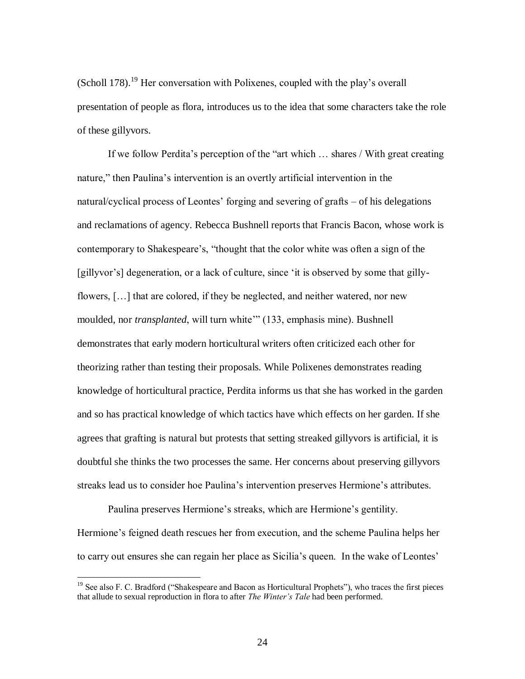(Scholl 178).<sup>19</sup> Her conversation with Polixenes, coupled with the play's overall presentation of people as flora, introduces us to the idea that some characters take the role of these gillyvors.

If we follow Perdita's perception of the "art which … shares / With great creating nature," then Paulina's intervention is an overtly artificial intervention in the natural/cyclical process of Leontes' forging and severing of grafts – of his delegations and reclamations of agency. Rebecca Bushnell reports that Francis Bacon, whose work is contemporary to Shakespeare's, "thought that the color white was often a sign of the [gillyvor's] degeneration, or a lack of culture, since 'it is observed by some that gillyflowers, […] that are colored, if they be neglected, and neither watered, nor new moulded, nor *transplanted*, will turn white" (133, emphasis mine). Bushnell demonstrates that early modern horticultural writers often criticized each other for theorizing rather than testing their proposals. While Polixenes demonstrates reading knowledge of horticultural practice, Perdita informs us that she has worked in the garden and so has practical knowledge of which tactics have which effects on her garden. If she agrees that grafting is natural but protests that setting streaked gillyvors is artificial, it is doubtful she thinks the two processes the same. Her concerns about preserving gillyvors streaks lead us to consider hoe Paulina's intervention preserves Hermione's attributes.

Paulina preserves Hermione's streaks, which are Hermione's gentility. Hermione's feigned death rescues her from execution, and the scheme Paulina helps her to carry out ensures she can regain her place as Sicilia's queen. In the wake of Leontes'

<sup>&</sup>lt;sup>19</sup> See also F. C. Bradford ("Shakespeare and Bacon as Horticultural Prophets"), who traces the first pieces that allude to sexual reproduction in flora to after *The Winter's Tale* had been performed.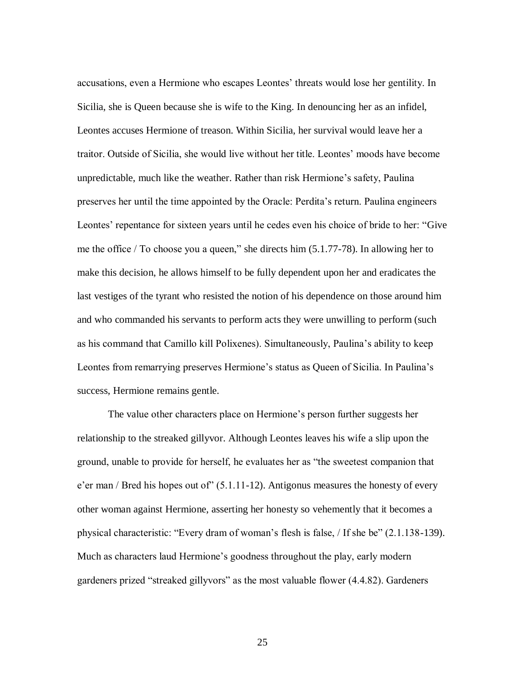accusations, even a Hermione who escapes Leontes' threats would lose her gentility. In Sicilia, she is Queen because she is wife to the King. In denouncing her as an infidel, Leontes accuses Hermione of treason. Within Sicilia, her survival would leave her a traitor. Outside of Sicilia, she would live without her title. Leontes' moods have become unpredictable, much like the weather. Rather than risk Hermione's safety, Paulina preserves her until the time appointed by the Oracle: Perdita's return. Paulina engineers Leontes' repentance for sixteen years until he cedes even his choice of bride to her: "Give me the office / To choose you a queen," she directs him (5.1.77-78). In allowing her to make this decision, he allows himself to be fully dependent upon her and eradicates the last vestiges of the tyrant who resisted the notion of his dependence on those around him and who commanded his servants to perform acts they were unwilling to perform (such as his command that Camillo kill Polixenes). Simultaneously, Paulina's ability to keep Leontes from remarrying preserves Hermione's status as Queen of Sicilia. In Paulina's success, Hermione remains gentle.

The value other characters place on Hermione's person further suggests her relationship to the streaked gillyvor. Although Leontes leaves his wife a slip upon the ground, unable to provide for herself, he evaluates her as "the sweetest companion that e'er man / Bred his hopes out of" (5.1.11-12). Antigonus measures the honesty of every other woman against Hermione, asserting her honesty so vehemently that it becomes a physical characteristic: "Every dram of woman's flesh is false, / If she be" (2.1.138-139). Much as characters laud Hermione's goodness throughout the play, early modern gardeners prized "streaked gillyvors" as the most valuable flower (4.4.82). Gardeners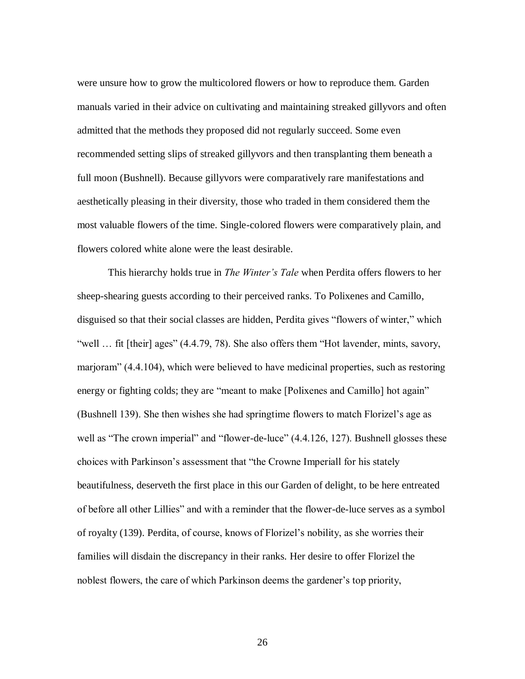were unsure how to grow the multicolored flowers or how to reproduce them. Garden manuals varied in their advice on cultivating and maintaining streaked gillyvors and often admitted that the methods they proposed did not regularly succeed. Some even recommended setting slips of streaked gillyvors and then transplanting them beneath a full moon (Bushnell). Because gillyvors were comparatively rare manifestations and aesthetically pleasing in their diversity, those who traded in them considered them the most valuable flowers of the time. Single-colored flowers were comparatively plain, and flowers colored white alone were the least desirable.

This hierarchy holds true in *The Winter's Tale* when Perdita offers flowers to her sheep-shearing guests according to their perceived ranks. To Polixenes and Camillo, disguised so that their social classes are hidden, Perdita gives "flowers of winter," which "well … fit [their] ages" (4.4.79, 78). She also offers them "Hot lavender, mints, savory, marjoram" (4.4.104), which were believed to have medicinal properties, such as restoring energy or fighting colds; they are "meant to make [Polixenes and Camillo] hot again" (Bushnell 139). She then wishes she had springtime flowers to match Florizel's age as well as "The crown imperial" and "flower-de-luce" (4.4.126, 127). Bushnell glosses these choices with Parkinson's assessment that "the Crowne Imperiall for his stately beautifulness, deserveth the first place in this our Garden of delight, to be here entreated of before all other Lillies" and with a reminder that the flower-de-luce serves as a symbol of royalty (139). Perdita, of course, knows of Florizel's nobility, as she worries their families will disdain the discrepancy in their ranks. Her desire to offer Florizel the noblest flowers, the care of which Parkinson deems the gardener's top priority,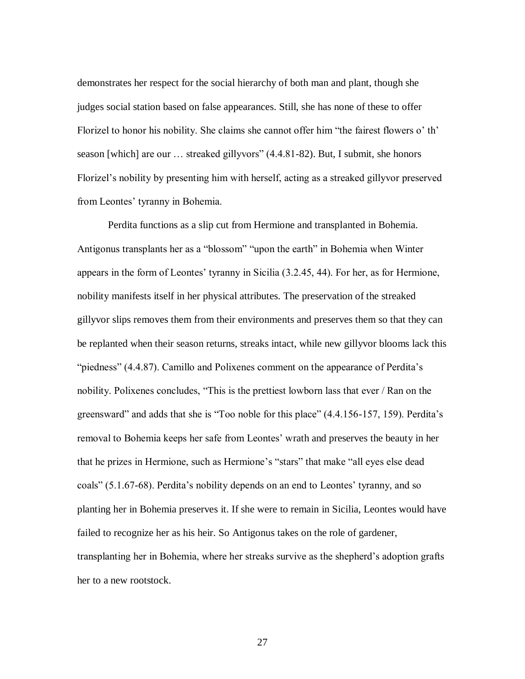demonstrates her respect for the social hierarchy of both man and plant, though she judges social station based on false appearances. Still, she has none of these to offer Florizel to honor his nobility. She claims she cannot offer him "the fairest flowers o' th' season [which] are our … streaked gillyvors" (4.4.81-82). But, I submit, she honors Florizel's nobility by presenting him with herself, acting as a streaked gillyvor preserved from Leontes' tyranny in Bohemia.

Perdita functions as a slip cut from Hermione and transplanted in Bohemia. Antigonus transplants her as a "blossom" "upon the earth" in Bohemia when Winter appears in the form of Leontes' tyranny in Sicilia (3.2.45, 44). For her, as for Hermione, nobility manifests itself in her physical attributes. The preservation of the streaked gillyvor slips removes them from their environments and preserves them so that they can be replanted when their season returns, streaks intact, while new gillyvor blooms lack this "piedness" (4.4.87). Camillo and Polixenes comment on the appearance of Perdita's nobility. Polixenes concludes, "This is the prettiest lowborn lass that ever / Ran on the greensward" and adds that she is "Too noble for this place" (4.4.156-157, 159). Perdita's removal to Bohemia keeps her safe from Leontes' wrath and preserves the beauty in her that he prizes in Hermione, such as Hermione's "stars" that make "all eyes else dead coals" (5.1.67-68). Perdita's nobility depends on an end to Leontes' tyranny, and so planting her in Bohemia preserves it. If she were to remain in Sicilia, Leontes would have failed to recognize her as his heir. So Antigonus takes on the role of gardener, transplanting her in Bohemia, where her streaks survive as the shepherd's adoption grafts her to a new rootstock.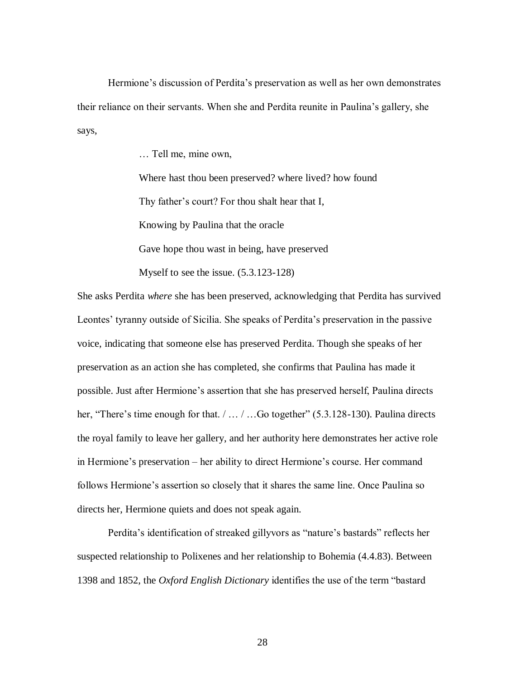Hermione's discussion of Perdita's preservation as well as her own demonstrates their reliance on their servants. When she and Perdita reunite in Paulina's gallery, she says,

… Tell me, mine own,

Where hast thou been preserved? where lived? how found Thy father's court? For thou shalt hear that I, Knowing by Paulina that the oracle Gave hope thou wast in being, have preserved

Myself to see the issue. (5.3.123-128)

She asks Perdita *where* she has been preserved, acknowledging that Perdita has survived Leontes' tyranny outside of Sicilia. She speaks of Perdita's preservation in the passive voice, indicating that someone else has preserved Perdita. Though she speaks of her preservation as an action she has completed, she confirms that Paulina has made it possible. Just after Hermione's assertion that she has preserved herself, Paulina directs her, "There's time enough for that. / ... / ...Go together" (5.3.128-130). Paulina directs the royal family to leave her gallery, and her authority here demonstrates her active role in Hermione's preservation – her ability to direct Hermione's course. Her command follows Hermione's assertion so closely that it shares the same line. Once Paulina so directs her, Hermione quiets and does not speak again.

Perdita's identification of streaked gillyvors as "nature's bastards" reflects her suspected relationship to Polixenes and her relationship to Bohemia (4.4.83). Between 1398 and 1852, the *Oxford English Dictionary* identifies the use of the term "bastard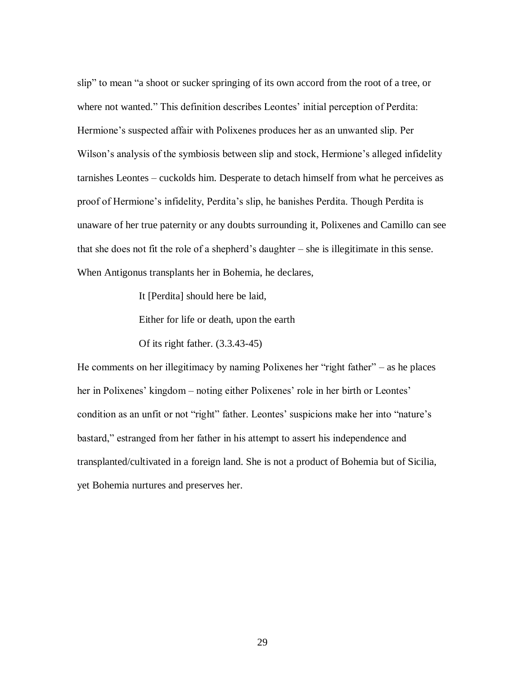slip" to mean "a shoot or sucker springing of its own accord from the root of a tree, or where not wanted." This definition describes Leontes' initial perception of Perdita: Hermione's suspected affair with Polixenes produces her as an unwanted slip. Per Wilson's analysis of the symbiosis between slip and stock, Hermione's alleged infidelity tarnishes Leontes – cuckolds him. Desperate to detach himself from what he perceives as proof of Hermione's infidelity, Perdita's slip, he banishes Perdita. Though Perdita is unaware of her true paternity or any doubts surrounding it, Polixenes and Camillo can see that she does not fit the role of a shepherd's daughter – she is illegitimate in this sense. When Antigonus transplants her in Bohemia, he declares,

It [Perdita] should here be laid,

Either for life or death, upon the earth

Of its right father. (3.3.43-45)

He comments on her illegitimacy by naming Polixenes her "right father" – as he places her in Polixenes' kingdom – noting either Polixenes' role in her birth or Leontes' condition as an unfit or not "right" father. Leontes' suspicions make her into "nature's bastard," estranged from her father in his attempt to assert his independence and transplanted/cultivated in a foreign land. She is not a product of Bohemia but of Sicilia, yet Bohemia nurtures and preserves her.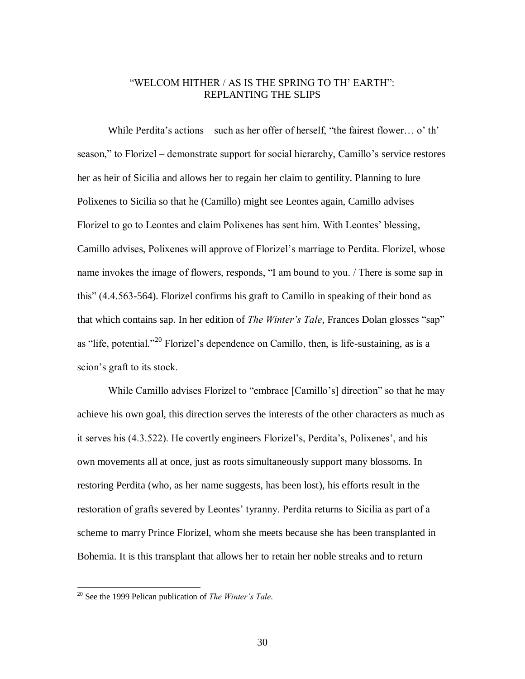# "WELCOM HITHER / AS IS THE SPRING TO TH' EARTH": REPLANTING THE SLIPS

While Perdita's actions – such as her offer of herself, "the fairest flower… o' th' season," to Florizel – demonstrate support for social hierarchy, Camillo's service restores her as heir of Sicilia and allows her to regain her claim to gentility. Planning to lure Polixenes to Sicilia so that he (Camillo) might see Leontes again, Camillo advises Florizel to go to Leontes and claim Polixenes has sent him. With Leontes' blessing, Camillo advises, Polixenes will approve of Florizel's marriage to Perdita. Florizel, whose name invokes the image of flowers, responds, "I am bound to you. / There is some sap in this" (4.4.563-564). Florizel confirms his graft to Camillo in speaking of their bond as that which contains sap. In her edition of *The Winter's Tale*, Frances Dolan glosses "sap" as "life, potential."<sup>20</sup> Florizel's dependence on Camillo, then, is life-sustaining, as is a scion's graft to its stock.

While Camillo advises Florizel to "embrace [Camillo's] direction" so that he may achieve his own goal, this direction serves the interests of the other characters as much as it serves his (4.3.522). He covertly engineers Florizel's, Perdita's, Polixenes', and his own movements all at once, just as roots simultaneously support many blossoms. In restoring Perdita (who, as her name suggests, has been lost), his efforts result in the restoration of grafts severed by Leontes' tyranny. Perdita returns to Sicilia as part of a scheme to marry Prince Florizel, whom she meets because she has been transplanted in Bohemia. It is this transplant that allows her to retain her noble streaks and to return

<sup>20</sup> See the 1999 Pelican publication of *The Winter's Tale*.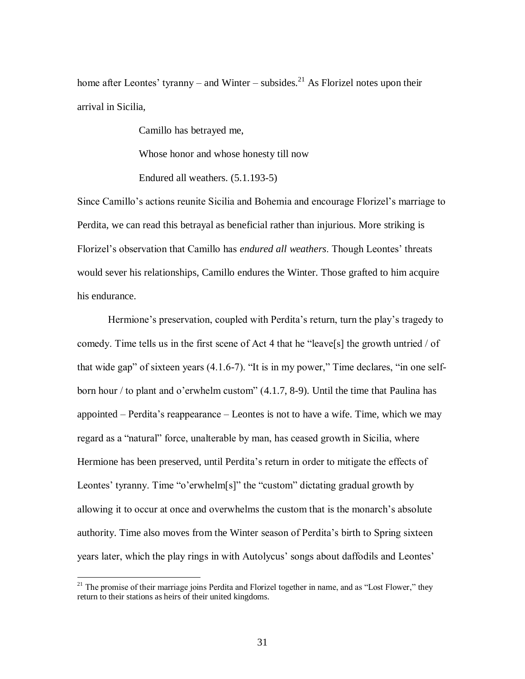home after Leontes' tyranny – and Winter – subsides.<sup>21</sup> As Florizel notes upon their arrival in Sicilia,

Camillo has betrayed me,

Whose honor and whose honesty till now

Endured all weathers. (5.1.193-5)

Since Camillo's actions reunite Sicilia and Bohemia and encourage Florizel's marriage to Perdita, we can read this betrayal as beneficial rather than injurious. More striking is Florizel's observation that Camillo has *endured all weathers*. Though Leontes' threats would sever his relationships, Camillo endures the Winter. Those grafted to him acquire his endurance.

Hermione's preservation, coupled with Perdita's return, turn the play's tragedy to comedy. Time tells us in the first scene of Act 4 that he "leave[s] the growth untried / of that wide gap" of sixteen years (4.1.6-7). "It is in my power," Time declares, "in one selfborn hour / to plant and o'erwhelm custom" (4.1.7, 8-9). Until the time that Paulina has appointed – Perdita's reappearance – Leontes is not to have a wife. Time, which we may regard as a "natural" force, unalterable by man, has ceased growth in Sicilia, where Hermione has been preserved, until Perdita's return in order to mitigate the effects of Leontes' tyranny. Time "o'erwhelm[s]" the "custom" dictating gradual growth by allowing it to occur at once and overwhelms the custom that is the monarch's absolute authority. Time also moves from the Winter season of Perdita's birth to Spring sixteen years later, which the play rings in with Autolycus' songs about daffodils and Leontes'

 $21$  The promise of their marriage joins Perdita and Florizel together in name, and as "Lost Flower," they return to their stations as heirs of their united kingdoms.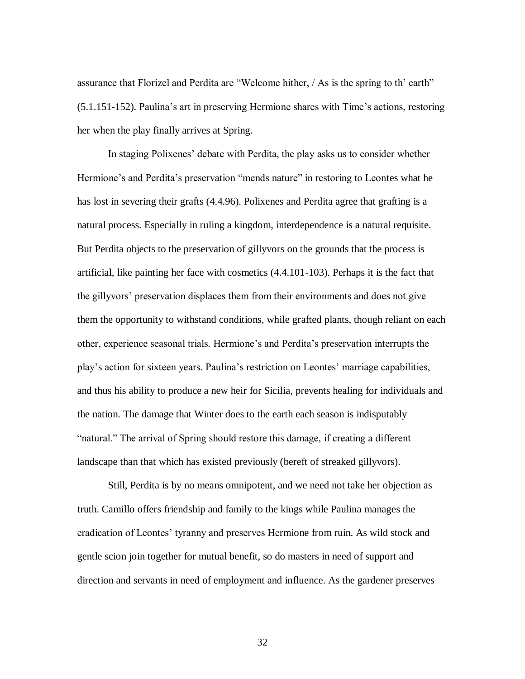assurance that Florizel and Perdita are "Welcome hither, / As is the spring to th' earth" (5.1.151-152). Paulina's art in preserving Hermione shares with Time's actions, restoring her when the play finally arrives at Spring.

In staging Polixenes' debate with Perdita, the play asks us to consider whether Hermione's and Perdita's preservation "mends nature" in restoring to Leontes what he has lost in severing their grafts (4.4.96). Polixenes and Perdita agree that grafting is a natural process. Especially in ruling a kingdom, interdependence is a natural requisite. But Perdita objects to the preservation of gillyvors on the grounds that the process is artificial, like painting her face with cosmetics (4.4.101-103). Perhaps it is the fact that the gillyvors' preservation displaces them from their environments and does not give them the opportunity to withstand conditions, while grafted plants, though reliant on each other, experience seasonal trials. Hermione's and Perdita's preservation interrupts the play's action for sixteen years. Paulina's restriction on Leontes' marriage capabilities, and thus his ability to produce a new heir for Sicilia, prevents healing for individuals and the nation. The damage that Winter does to the earth each season is indisputably "natural." The arrival of Spring should restore this damage, if creating a different landscape than that which has existed previously (bereft of streaked gillyvors).

Still, Perdita is by no means omnipotent, and we need not take her objection as truth. Camillo offers friendship and family to the kings while Paulina manages the eradication of Leontes' tyranny and preserves Hermione from ruin. As wild stock and gentle scion join together for mutual benefit, so do masters in need of support and direction and servants in need of employment and influence. As the gardener preserves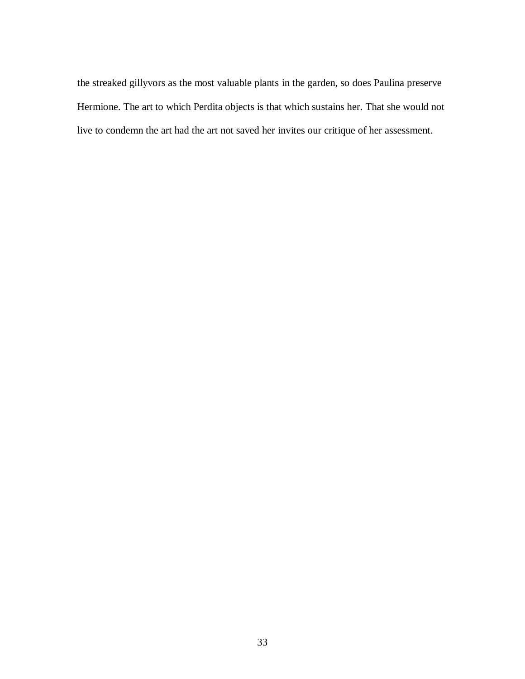the streaked gillyvors as the most valuable plants in the garden, so does Paulina preserve Hermione. The art to which Perdita objects is that which sustains her. That she would not live to condemn the art had the art not saved her invites our critique of her assessment.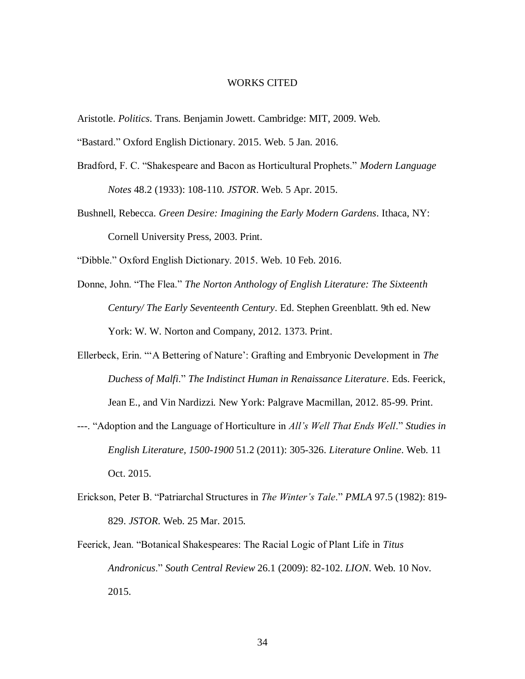### WORKS CITED

- Aristotle. *Politics*. Trans. Benjamin Jowett. Cambridge: MIT, 2009. Web.
- "Bastard." Oxford English Dictionary. 2015. Web. 5 Jan. 2016.
- Bradford, F. C. "Shakespeare and Bacon as Horticultural Prophets." *Modern Language Notes* 48.2 (1933): 108-110. *JSTOR*. Web. 5 Apr. 2015.
- Bushnell, Rebecca. *Green Desire: Imagining the Early Modern Gardens*. Ithaca, NY: Cornell University Press, 2003. Print.

"Dibble." Oxford English Dictionary. 2015. Web. 10 Feb. 2016.

- Donne, John. "The Flea." *The Norton Anthology of English Literature: The Sixteenth Century/ The Early Seventeenth Century*. Ed. Stephen Greenblatt. 9th ed. New York: W. W. Norton and Company, 2012. 1373. Print.
- Ellerbeck, Erin. "'A Bettering of Nature': Grafting and Embryonic Development in *The Duchess of Malfi*." *The Indistinct Human in Renaissance Literature*. Eds. Feerick, Jean E., and Vin Nardizzi. New York: Palgrave Macmillan, 2012. 85-99. Print.
- ---. "Adoption and the Language of Horticulture in *All's Well That Ends Well*." *Studies in English Literature, 1500-1900* 51.2 (2011): 305-326. *Literature Online*. Web. 11 Oct. 2015.
- Erickson, Peter B. "Patriarchal Structures in *The Winter's Tale*." *PMLA* 97.5 (1982): 819- 829. *JSTOR*. Web. 25 Mar. 2015.
- Feerick, Jean. "Botanical Shakespeares: The Racial Logic of Plant Life in *Titus Andronicus*." *South Central Review* 26.1 (2009): 82-102. *LION*. Web. 10 Nov. 2015.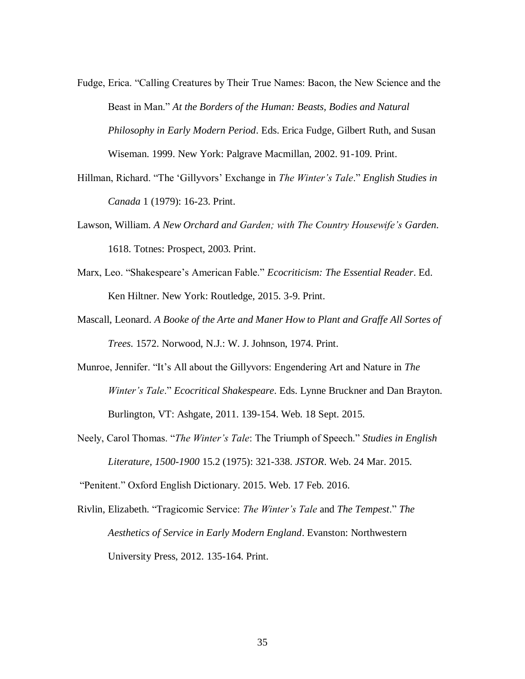- Fudge, Erica. "Calling Creatures by Their True Names: Bacon, the New Science and the Beast in Man." *At the Borders of the Human: Beasts, Bodies and Natural Philosophy in Early Modern Period*. Eds. Erica Fudge, Gilbert Ruth, and Susan Wiseman. 1999. New York: Palgrave Macmillan, 2002. 91-109. Print.
- Hillman, Richard. "The 'Gillyvors' Exchange in *The Winter's Tale*." *English Studies in Canada* 1 (1979): 16-23. Print.
- Lawson, William. *A New Orchard and Garden; with The Country Housewife's Garden*. 1618. Totnes: Prospect, 2003. Print.
- Marx, Leo. "Shakespeare's American Fable." *Ecocriticism: The Essential Reader*. Ed. Ken Hiltner. New York: Routledge, 2015. 3-9. Print.
- Mascall, Leonard. *A Booke of the Arte and Maner How to Plant and Graffe All Sortes of Trees*. 1572. Norwood, N.J.: W. J. Johnson, 1974. Print.
- Munroe, Jennifer. "It's All about the Gillyvors: Engendering Art and Nature in *The Winter's Tale*." *Ecocritical Shakespeare*. Eds. Lynne Bruckner and Dan Brayton. Burlington, VT: Ashgate, 2011. 139-154. Web. 18 Sept. 2015.
- Neely, Carol Thomas. "*The Winter's Tale*: The Triumph of Speech." *Studies in English Literature, 1500-1900* 15.2 (1975): 321-338. *JSTOR*. Web. 24 Mar. 2015.

"Penitent." Oxford English Dictionary. 2015. Web. 17 Feb. 2016.

Rivlin, Elizabeth. "Tragicomic Service: *The Winter's Tale* and *The Tempest*." *The Aesthetics of Service in Early Modern England*. Evanston: Northwestern University Press, 2012. 135-164. Print.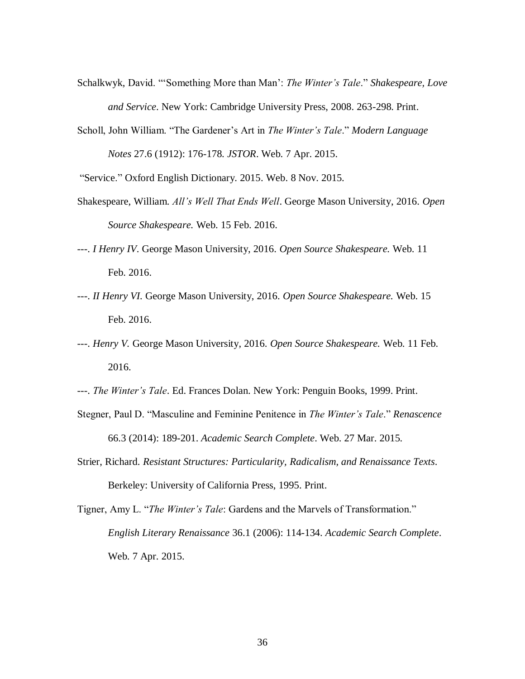- Schalkwyk, David. "'Something More than Man': *The Winter's Tale*." *Shakespeare, Love and Service*. New York: Cambridge University Press, 2008. 263-298. Print.
- Scholl, John William. "The Gardener's Art in *The Winter's Tale*." *Modern Language Notes* 27.6 (1912): 176-178. *JSTOR*. Web. 7 Apr. 2015.

"Service." Oxford English Dictionary. 2015. Web. 8 Nov. 2015.

- Shakespeare, William. *All's Well That Ends Well*. George Mason University, 2016. *Open Source Shakespeare.* Web. 15 Feb. 2016.
- ---. *I Henry IV*. George Mason University, 2016. *Open Source Shakespeare.* Web. 11 Feb. 2016.
- ---. *II Henry VI.* George Mason University, 2016. *Open Source Shakespeare.* Web. 15 Feb. 2016.
- ---. *Henry V.* George Mason University, 2016. *Open Source Shakespeare.* Web. 11 Feb. 2016.
- ---. *The Winter's Tale*. Ed. Frances Dolan. New York: Penguin Books, 1999. Print.
- Stegner, Paul D. "Masculine and Feminine Penitence in *The Winter's Tale*." *Renascence* 66.3 (2014): 189-201. *Academic Search Complete*. Web. 27 Mar. 2015.
- Strier, Richard. *Resistant Structures: Particularity, Radicalism, and Renaissance Texts*. Berkeley: University of California Press, 1995. Print.
- Tigner, Amy L. "*The Winter's Tale*: Gardens and the Marvels of Transformation." *English Literary Renaissance* 36.1 (2006): 114-134. *Academic Search Complete*. Web. 7 Apr. 2015.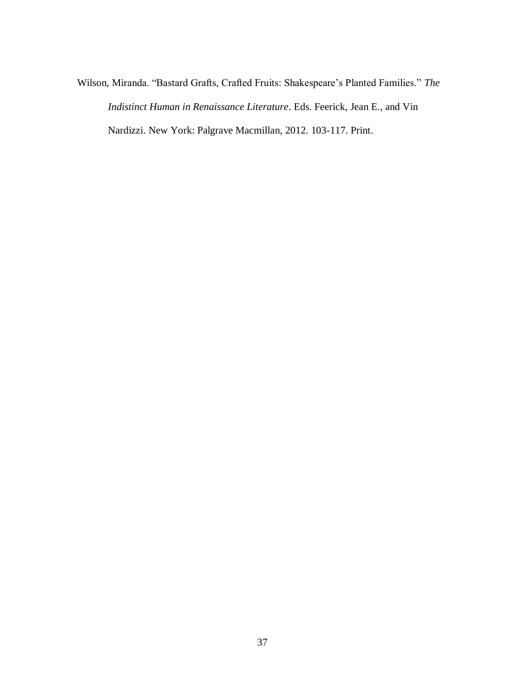Wilson, Miranda. "Bastard Grafts, Crafted Fruits: Shakespeare's Planted Families." *The Indistinct Human in Renaissance Literature*. Eds. Feerick, Jean E., and Vin Nardizzi. New York: Palgrave Macmillan, 2012. 103-117. Print.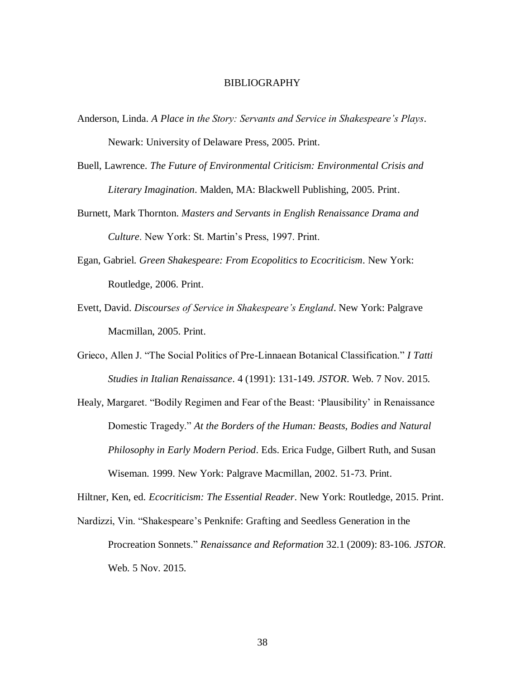#### BIBLIOGRAPHY

- Anderson, Linda. *A Place in the Story: Servants and Service in Shakespeare's Plays*. Newark: University of Delaware Press, 2005. Print.
- Buell, Lawrence. *The Future of Environmental Criticism: Environmental Crisis and Literary Imagination*. Malden, MA: Blackwell Publishing, 2005. Print.
- Burnett, Mark Thornton. *Masters and Servants in English Renaissance Drama and Culture*. New York: St. Martin's Press, 1997. Print.
- Egan, Gabriel. *Green Shakespeare: From Ecopolitics to Ecocriticism*. New York: Routledge, 2006. Print.
- Evett, David. *Discourses of Service in Shakespeare's England*. New York: Palgrave Macmillan, 2005. Print.
- Grieco, Allen J. "The Social Politics of Pre-Linnaean Botanical Classification." *I Tatti Studies in Italian Renaissance*. 4 (1991): 131-149. *JSTOR*. Web. 7 Nov. 2015.
- Healy, Margaret. "Bodily Regimen and Fear of the Beast: 'Plausibility' in Renaissance Domestic Tragedy." *At the Borders of the Human: Beasts, Bodies and Natural Philosophy in Early Modern Period*. Eds. Erica Fudge, Gilbert Ruth, and Susan Wiseman. 1999. New York: Palgrave Macmillan, 2002. 51-73. Print.

Hiltner, Ken, ed. *Ecocriticism: The Essential Reader*. New York: Routledge, 2015. Print.

Nardizzi, Vin. "Shakespeare's Penknife: Grafting and Seedless Generation in the Procreation Sonnets." *Renaissance and Reformation* 32.1 (2009): 83-106. *JSTOR*. Web. 5 Nov. 2015.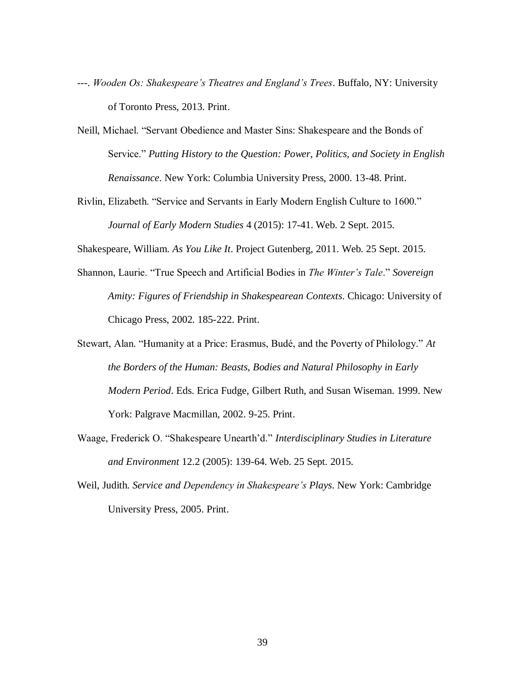- ---. *Wooden Os: Shakespeare's Theatres and England's Trees*. Buffalo, NY: University of Toronto Press, 2013. Print.
- Neill, Michael. "Servant Obedience and Master Sins: Shakespeare and the Bonds of Service." *Putting History to the Question: Power, Politics, and Society in English Renaissance*. New York: Columbia University Press, 2000. 13-48. Print.
- Rivlin, Elizabeth. "Service and Servants in Early Modern English Culture to 1600." *Journal of Early Modern Studies* 4 (2015): 17-41. Web. 2 Sept. 2015.

Shakespeare, William. *As You Like It*. Project Gutenberg, 2011. Web. 25 Sept. 2015.

- Shannon, Laurie. "True Speech and Artificial Bodies in *The Winter's Tale*." *Sovereign Amity: Figures of Friendship in Shakespearean Contexts*. Chicago: University of Chicago Press, 2002. 185-222. Print.
- Stewart, Alan. "Humanity at a Price: Erasmus, Budé, and the Poverty of Philology." *At the Borders of the Human: Beasts, Bodies and Natural Philosophy in Early Modern Period*. Eds. Erica Fudge, Gilbert Ruth, and Susan Wiseman. 1999. New York: Palgrave Macmillan, 2002. 9-25. Print.
- Waage, Frederick O. "Shakespeare Unearth'd." *Interdisciplinary Studies in Literature and Environment* 12.2 (2005): 139-64. Web. 25 Sept. 2015.
- Weil, Judith. *Service and Dependency in Shakespeare's Plays*. New York: Cambridge University Press, 2005. Print.